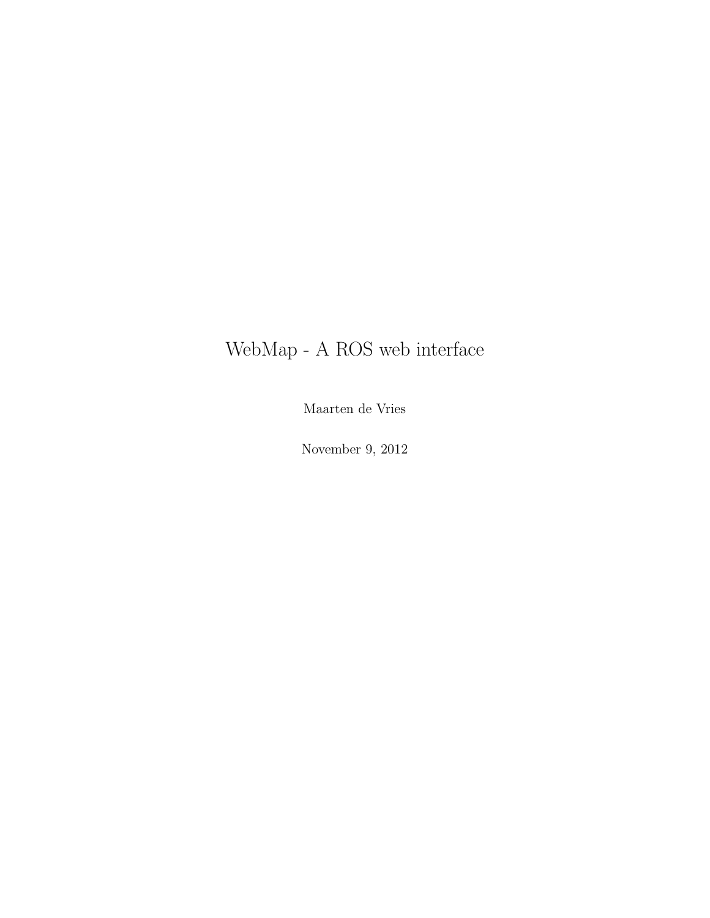## WebMap - A ROS web interface

Maarten de Vries

November 9, 2012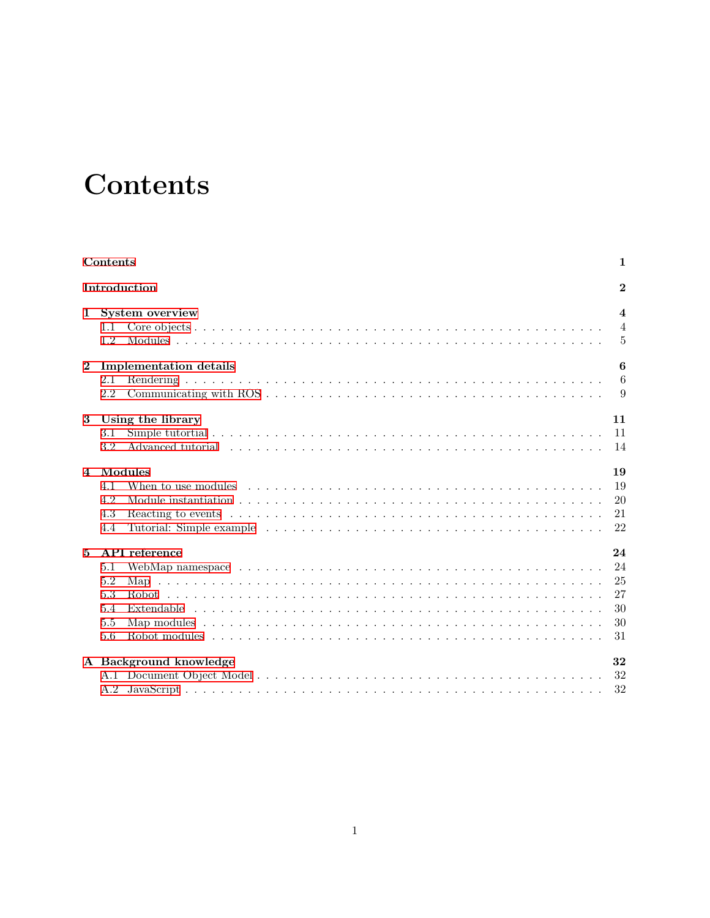# **Contents**

<span id="page-1-0"></span>

|              | Contents                                                                                                                                                                                                                                                          | 1                                                           |
|--------------|-------------------------------------------------------------------------------------------------------------------------------------------------------------------------------------------------------------------------------------------------------------------|-------------------------------------------------------------|
| Introduction |                                                                                                                                                                                                                                                                   | $\bf{2}$                                                    |
| $\mathbf 1$  | System overview<br>1.1<br>1.2                                                                                                                                                                                                                                     | $\overline{\mathbf{4}}$<br>$\overline{4}$<br>$\overline{5}$ |
| $\mathbf{2}$ | <b>Implementation details</b><br>2.1<br>2.2                                                                                                                                                                                                                       | 6<br>6<br>9                                                 |
| 3            | Using the library<br>3.1<br>Advanced tutorial experience is a series of the contract of the contract of the contract of the contract of the contract of the contract of the contract of the contract of the contract of the contract of the contract of th<br>3.2 | 11<br>11<br>14                                              |
| 4            | Modules<br>4.1<br>4.2<br>4.3<br>4.4                                                                                                                                                                                                                               | 19<br>19<br>20<br>21<br>22                                  |
| 5            | API reference<br>5.1<br>5.2<br>5.3<br>5.4<br>5.5<br>5.6                                                                                                                                                                                                           | 24<br>24<br>25<br>27<br>30<br>30<br>31                      |
|              | A Background knowledge                                                                                                                                                                                                                                            | 32<br>32<br>32                                              |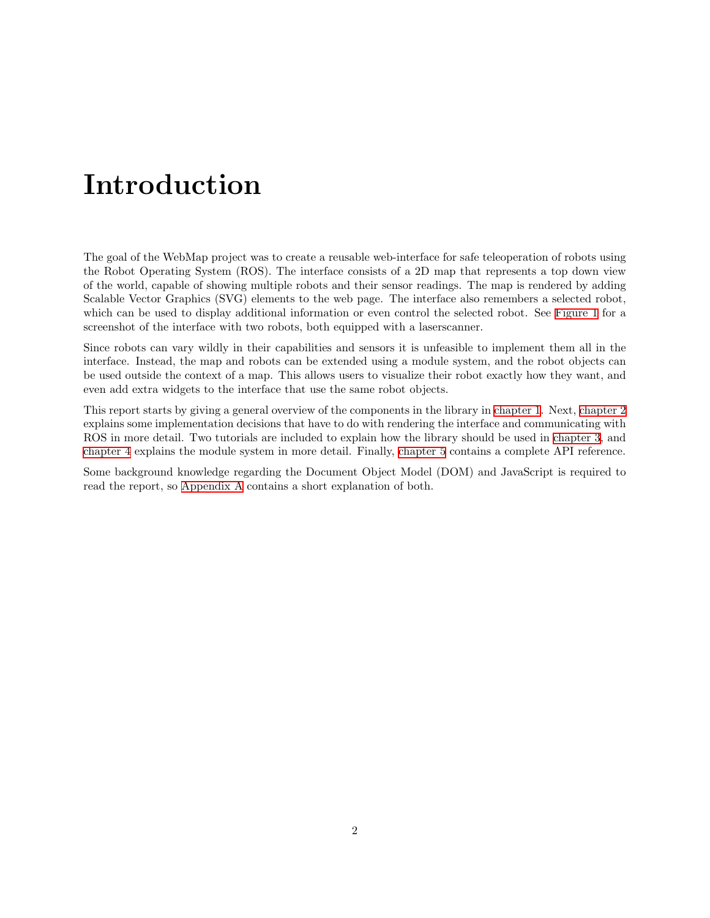# **Introduction**

<span id="page-2-0"></span>The goal of the WebMap project was to create a reusable web-interface for safe teleoperation of robots using the Robot Operating System (ROS). The interface consists of a 2D map that represents a top down view of the world, capable of showing multiple robots and their sensor readings. The map is rendered by adding Scalable Vector Graphics (SVG) elements to the web page. The interface also remembers a selected robot, which can be used to display additional information or even control the selected robot. See [Figure 1](#page-3-0) for a screenshot of the interface with two robots, both equipped with a laserscanner.

Since robots can vary wildly in their capabilities and sensors it is unfeasible to implement them all in the interface. Instead, the map and robots can be extended using a module system, and the robot objects can be used outside the context of a map. This allows users to visualize their robot exactly how they want, and even add extra widgets to the interface that use the same robot objects.

This report starts by giving a general overview of the components in the library in [chapter 1](#page-4-0). Next, [chapter 2](#page-6-0) explains some implementation decisions that have to do with rendering the interface and communicating with ROS in more detail. Two tutorials are included to explain how the library should be used in [chapter 3,](#page-11-0) and [chapter 4](#page-19-0) explains the module system in more detail. Finally, [chapter 5](#page-24-0) contains a complete API reference.

Some background knowledge regarding the Document Object Model (DOM) and JavaScript is required to read the report, so [Appendix A](#page-32-0) contains a short explanation of both.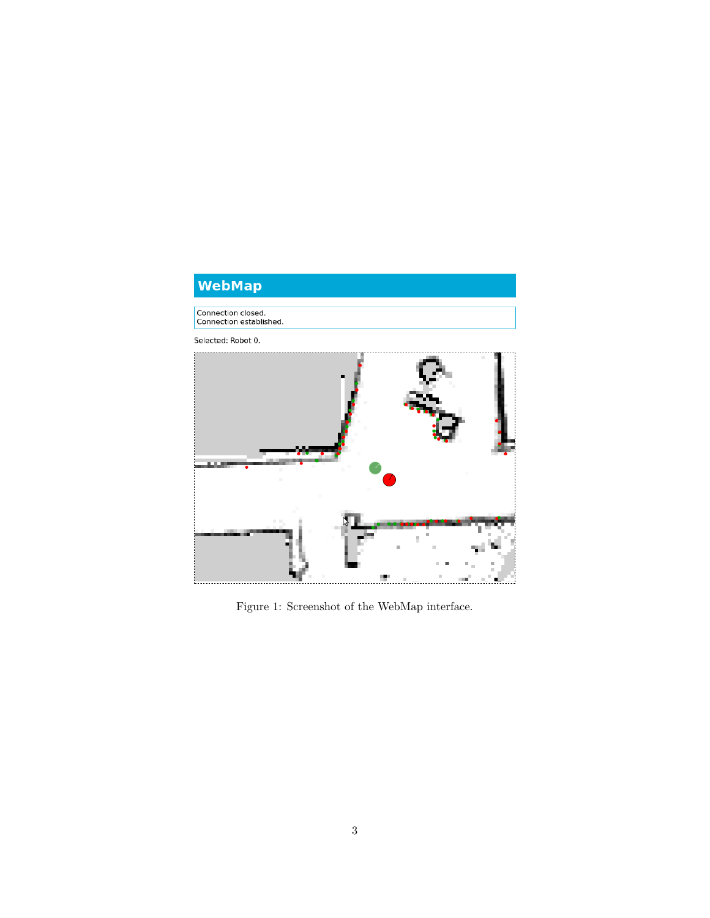<span id="page-3-0"></span>

Figure 1: Screenshot of the WebMap interface.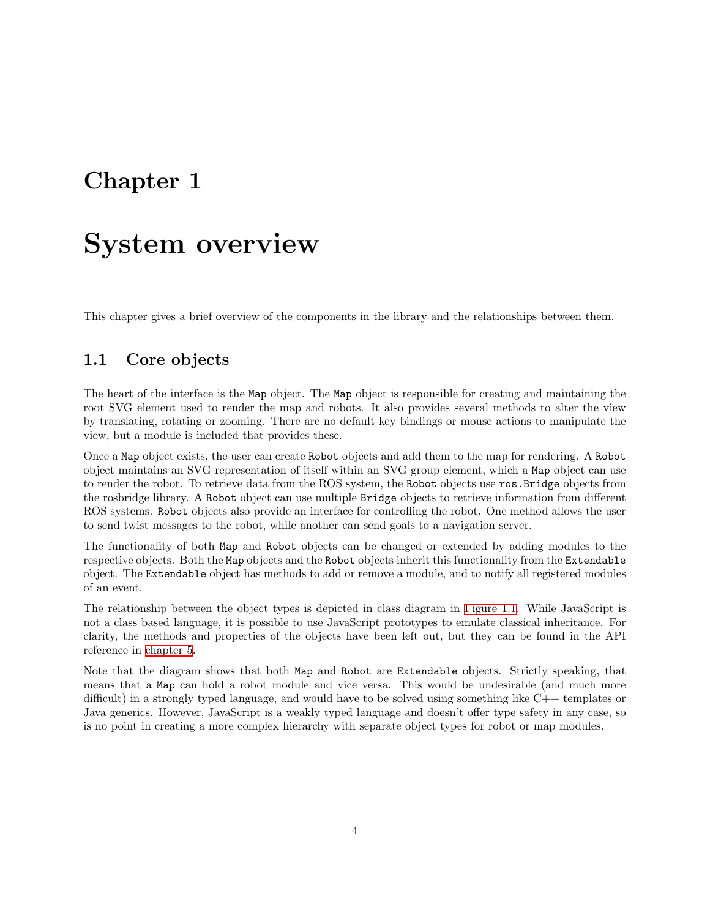## <span id="page-4-0"></span>**Chapter 1**

## **System overview**

This chapter gives a brief overview of the components in the library and the relationships between them.

## <span id="page-4-1"></span>**1.1 Core objects**

The heart of the interface is the Map object. The Map object is responsible for creating and maintaining the root SVG element used to render the map and robots. It also provides several methods to alter the view by translating, rotating or zooming. There are no default key bindings or mouse actions to manipulate the view, but a module is included that provides these.

Once a Map object exists, the user can create Robot objects and add them to the map for rendering. A Robot object maintains an SVG representation of itself within an SVG group element, which a Map object can use to render the robot. To retrieve data from the ROS system, the Robot objects use ros.Bridge objects from the rosbridge library. A Robot object can use multiple Bridge objects to retrieve information from different ROS systems. Robot objects also provide an interface for controlling the robot. One method allows the user to send twist messages to the robot, while another can send goals to a navigation server.

The functionality of both Map and Robot objects can be changed or extended by adding modules to the respective objects. Both the Map objects and the Robot objects inherit this functionality from the Extendable object. The Extendable object has methods to add or remove a module, and to notify all registered modules of an event.

The relationship between the object types is depicted in class diagram in [Figure 1.1](#page-5-1). While JavaScript is not a class based language, it is possible to use JavaScript prototypes to emulate classical inheritance. For clarity, the methods and properties of the objects have been left out, but they can be found in the API reference in [chapter 5](#page-24-0).

Note that the diagram shows that both Map and Robot are Extendable objects. Strictly speaking, that means that a Map can hold a robot module and vice versa. This would be undesirable (and much more difficult) in a strongly typed language, and would have to be solved using something like C++ templates or Java generics. However, JavaScript is a weakly typed language and doesn't offer type safety in any case, so is no point in creating a more complex hierarchy with separate object types for robot or map modules.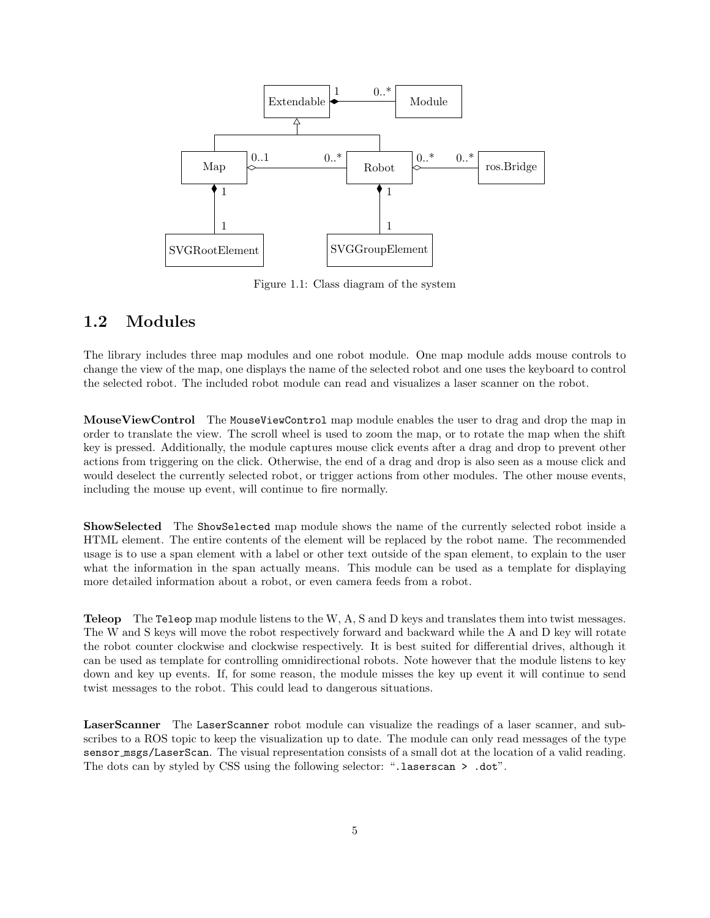<span id="page-5-1"></span>

Figure 1.1: Class diagram of the system

## <span id="page-5-0"></span>**1.2 Modules**

The library includes three map modules and one robot module. One map module adds mouse controls to change the view of the map, one displays the name of the selected robot and one uses the keyboard to control the selected robot. The included robot module can read and visualizes a laser scanner on the robot.

**MouseViewControl** The MouseViewControl map module enables the user to drag and drop the map in order to translate the view. The scroll wheel is used to zoom the map, or to rotate the map when the shift key is pressed. Additionally, the module captures mouse click events after a drag and drop to prevent other actions from triggering on the click. Otherwise, the end of a drag and drop is also seen as a mouse click and would deselect the currently selected robot, or trigger actions from other modules. The other mouse events, including the mouse up event, will continue to fire normally.

**ShowSelected** The ShowSelected map module shows the name of the currently selected robot inside a HTML element. The entire contents of the element will be replaced by the robot name. The recommended usage is to use a span element with a label or other text outside of the span element, to explain to the user what the information in the span actually means. This module can be used as a template for displaying more detailed information about a robot, or even camera feeds from a robot.

**Teleop** The Teleop map module listens to the W, A, S and D keys and translates them into twist messages. The W and S keys will move the robot respectively forward and backward while the A and D key will rotate the robot counter clockwise and clockwise respectively. It is best suited for differential drives, although it can be used as template for controlling omnidirectional robots. Note however that the module listens to key down and key up events. If, for some reason, the module misses the key up event it will continue to send twist messages to the robot. This could lead to dangerous situations.

**LaserScanner** The LaserScanner robot module can visualize the readings of a laser scanner, and subscribes to a ROS topic to keep the visualization up to date. The module can only read messages of the type sensor msgs/LaserScan. The visual representation consists of a small dot at the location of a valid reading. The dots can by styled by CSS using the following selector: ".laserscan > .dot".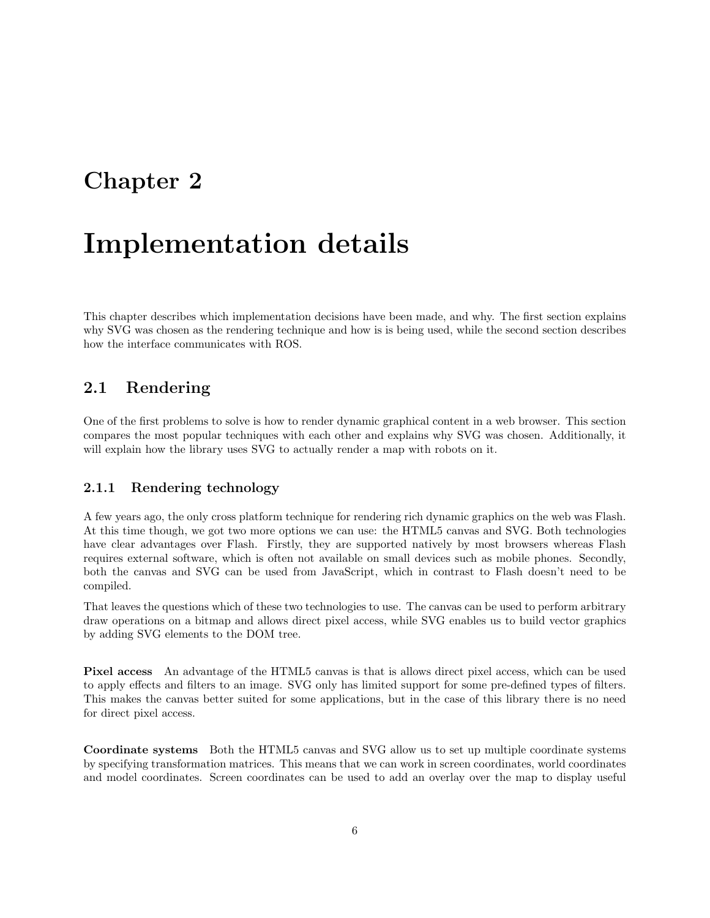## <span id="page-6-0"></span>**Chapter 2**

# **Implementation details**

This chapter describes which implementation decisions have been made, and why. The first section explains why SVG was chosen as the rendering technique and how is is being used, while the second section describes how the interface communicates with ROS.

## <span id="page-6-1"></span>**2.1 Rendering**

One of the first problems to solve is how to render dynamic graphical content in a web browser. This section compares the most popular techniques with each other and explains why SVG was chosen. Additionally, it will explain how the library uses SVG to actually render a map with robots on it.

## **2.1.1 Rendering technology**

A few years ago, the only cross platform technique for rendering rich dynamic graphics on the web was Flash. At this time though, we got two more options we can use: the HTML5 canvas and SVG. Both technologies have clear advantages over Flash. Firstly, they are supported natively by most browsers whereas Flash requires external software, which is often not available on small devices such as mobile phones. Secondly, both the canvas and SVG can be used from JavaScript, which in contrast to Flash doesn't need to be compiled.

That leaves the questions which of these two technologies to use. The canvas can be used to perform arbitrary draw operations on a bitmap and allows direct pixel access, while SVG enables us to build vector graphics by adding SVG elements to the DOM tree.

**Pixel access** An advantage of the HTML5 canvas is that is allows direct pixel access, which can be used to apply effects and filters to an image. SVG only has limited support for some pre-defined types of filters. This makes the canvas better suited for some applications, but in the case of this library there is no need for direct pixel access.

**Coordinate systems** Both the HTML5 canvas and SVG allow us to set up multiple coordinate systems by specifying transformation matrices. This means that we can work in screen coordinates, world coordinates and model coordinates. Screen coordinates can be used to add an overlay over the map to display useful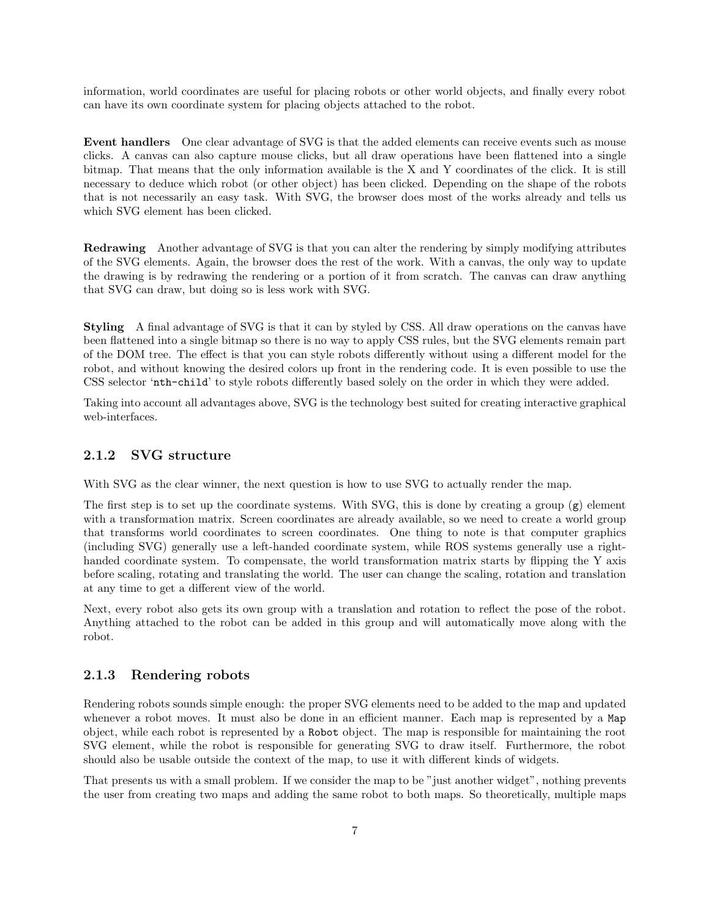information, world coordinates are useful for placing robots or other world objects, and finally every robot can have its own coordinate system for placing objects attached to the robot.

**Event handlers** One clear advantage of SVG is that the added elements can receive events such as mouse clicks. A canvas can also capture mouse clicks, but all draw operations have been flattened into a single bitmap. That means that the only information available is the X and Y coordinates of the click. It is still necessary to deduce which robot (or other object) has been clicked. Depending on the shape of the robots that is not necessarily an easy task. With SVG, the browser does most of the works already and tells us which SVG element has been clicked.

**Redrawing** Another advantage of SVG is that you can alter the rendering by simply modifying attributes of the SVG elements. Again, the browser does the rest of the work. With a canvas, the only way to update the drawing is by redrawing the rendering or a portion of it from scratch. The canvas can draw anything that SVG can draw, but doing so is less work with SVG.

**Styling** A final advantage of SVG is that it can by styled by CSS. All draw operations on the canvas have been flattened into a single bitmap so there is no way to apply CSS rules, but the SVG elements remain part of the DOM tree. The effect is that you can style robots differently without using a different model for the robot, and without knowing the desired colors up front in the rendering code. It is even possible to use the CSS selector 'nth-child' to style robots differently based solely on the order in which they were added.

Taking into account all advantages above, SVG is the technology best suited for creating interactive graphical web-interfaces.

## **2.1.2 SVG structure**

With SVG as the clear winner, the next question is how to use SVG to actually render the map.

The first step is to set up the coordinate systems. With SVG, this is done by creating a group  $(g)$  element with a transformation matrix. Screen coordinates are already available, so we need to create a world group that transforms world coordinates to screen coordinates. One thing to note is that computer graphics (including SVG) generally use a left-handed coordinate system, while ROS systems generally use a righthanded coordinate system. To compensate, the world transformation matrix starts by flipping the Y axis before scaling, rotating and translating the world. The user can change the scaling, rotation and translation at any time to get a different view of the world.

Next, every robot also gets its own group with a translation and rotation to reflect the pose of the robot. Anything attached to the robot can be added in this group and will automatically move along with the robot.

## **2.1.3 Rendering robots**

Rendering robots sounds simple enough: the proper SVG elements need to be added to the map and updated whenever a robot moves. It must also be done in an efficient manner. Each map is represented by a Map object, while each robot is represented by a Robot object. The map is responsible for maintaining the root SVG element, while the robot is responsible for generating SVG to draw itself. Furthermore, the robot should also be usable outside the context of the map, to use it with different kinds of widgets.

That presents us with a small problem. If we consider the map to be "just another widget", nothing prevents the user from creating two maps and adding the same robot to both maps. So theoretically, multiple maps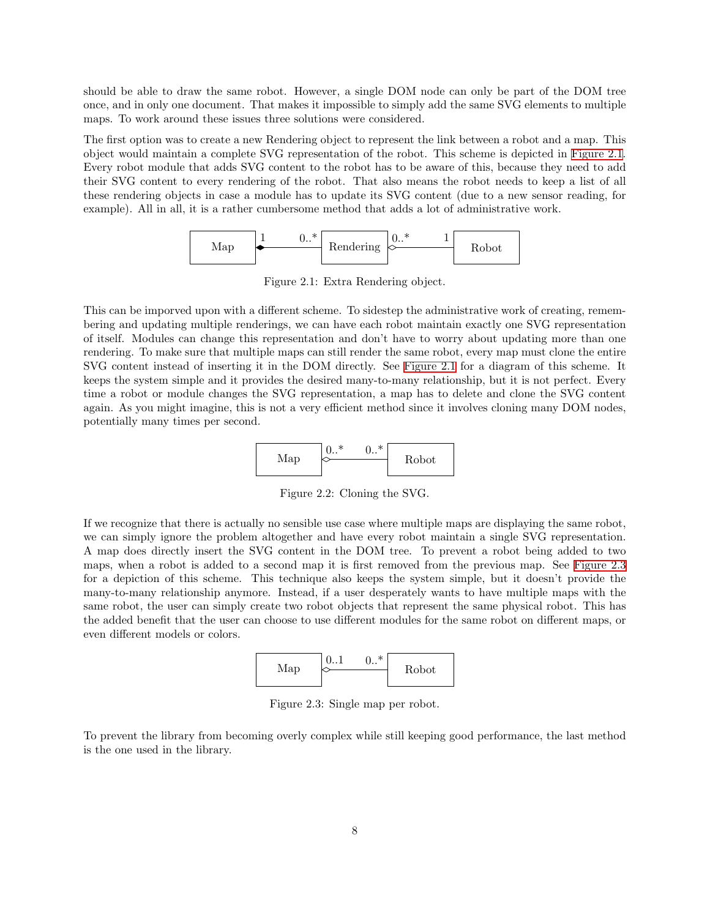should be able to draw the same robot. However, a single DOM node can only be part of the DOM tree once, and in only one document. That makes it impossible to simply add the same SVG elements to multiple maps. To work around these issues three solutions were considered.

The first option was to create a new Rendering object to represent the link between a robot and a map. This object would maintain a complete SVG representation of the robot. This scheme is depicted in [Figure 2.1](#page-8-0). Every robot module that adds SVG content to the robot has to be aware of this, because they need to add their SVG content to every rendering of the robot. That also means the robot needs to keep a list of all these rendering objects in case a module has to update its SVG content (due to a new sensor reading, for example). All in all, it is a rather cumbersome method that adds a lot of administrative work.



Figure 2.1: Extra Rendering object.

<span id="page-8-0"></span>This can be imporved upon with a different scheme. To sidestep the administrative work of creating, remembering and updating multiple renderings, we can have each robot maintain exactly one SVG representation of itself. Modules can change this representation and don't have to worry about updating more than one rendering. To make sure that multiple maps can still render the same robot, every map must clone the entire SVG content instead of inserting it in the DOM directly. See [Figure 2.1](#page-8-0) for a diagram of this scheme. It keeps the system simple and it provides the desired many-to-many relationship, but it is not perfect. Every time a robot or module changes the SVG representation, a map has to delete and clone the SVG content again. As you might imagine, this is not a very efficient method since it involves cloning many DOM nodes, potentially many times per second.



Figure 2.2: Cloning the SVG.

If we recognize that there is actually no sensible use case where multiple maps are displaying the same robot, we can simply ignore the problem altogether and have every robot maintain a single SVG representation. A map does directly insert the SVG content in the DOM tree. To prevent a robot being added to two maps, when a robot is added to a second map it is first removed from the previous map. See [Figure 2.3](#page-8-1) for a depiction of this scheme. This technique also keeps the system simple, but it doesn't provide the many-to-many relationship anymore. Instead, if a user desperately wants to have multiple maps with the same robot, the user can simply create two robot objects that represent the same physical robot. This has the added benefit that the user can choose to use different modules for the same robot on different maps, or even different models or colors.



Figure 2.3: Single map per robot.

<span id="page-8-1"></span>To prevent the library from becoming overly complex while still keeping good performance, the last method is the one used in the library.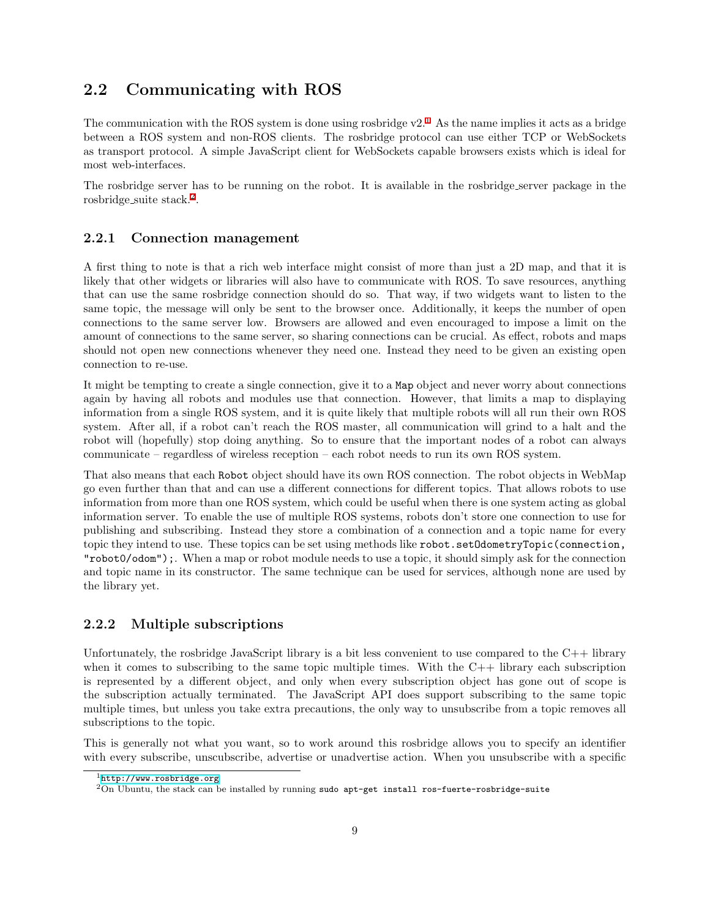## <span id="page-9-0"></span>**2.2 Communicating with ROS**

The communication with the ROS system is done using rosbridge  $v2<sup>1</sup>$  $v2<sup>1</sup>$  $v2<sup>1</sup>$ . As the name implies it acts as a bridge between a ROS system and non-ROS clients. The rosbridge protocol can use either TCP or WebSockets as transport protocol. A simple JavaScript client for WebSockets capable browsers exists which is ideal for most web-interfaces.

The rosbridge server has to be running on the robot. It is available in the rosbridge server package in the rosbridge\_suite stack.<sup>[2](#page-9-2)</sup>.

### **2.2.1 Connection management**

A first thing to note is that a rich web interface might consist of more than just a 2D map, and that it is likely that other widgets or libraries will also have to communicate with ROS. To save resources, anything that can use the same rosbridge connection should do so. That way, if two widgets want to listen to the same topic, the message will only be sent to the browser once. Additionally, it keeps the number of open connections to the same server low. Browsers are allowed and even encouraged to impose a limit on the amount of connections to the same server, so sharing connections can be crucial. As effect, robots and maps should not open new connections whenever they need one. Instead they need to be given an existing open connection to re-use.

It might be tempting to create a single connection, give it to a Map object and never worry about connections again by having all robots and modules use that connection. However, that limits a map to displaying information from a single ROS system, and it is quite likely that multiple robots will all run their own ROS system. After all, if a robot can't reach the ROS master, all communication will grind to a halt and the robot will (hopefully) stop doing anything. So to ensure that the important nodes of a robot can always communicate – regardless of wireless reception – each robot needs to run its own ROS system.

That also means that each Robot object should have its own ROS connection. The robot objects in WebMap go even further than that and can use a different connections for different topics. That allows robots to use information from more than one ROS system, which could be useful when there is one system acting as global information server. To enable the use of multiple ROS systems, robots don't store one connection to use for publishing and subscribing. Instead they store a combination of a connection and a topic name for every topic they intend to use. These topics can be set using methods like robot.setOdometryTopic(connection, "robot0/odom");. When a map or robot module needs to use a topic, it should simply ask for the connection and topic name in its constructor. The same technique can be used for services, although none are used by the library yet.

## **2.2.2 Multiple subscriptions**

Unfortunately, the rosbridge JavaScript library is a bit less convenient to use compared to the  $C++$  library when it comes to subscribing to the same topic multiple times. With the  $C++$  library each subscription is represented by a different object, and only when every subscription object has gone out of scope is the subscription actually terminated. The JavaScript API does support subscribing to the same topic multiple times, but unless you take extra precautions, the only way to unsubscribe from a topic removes all subscriptions to the topic.

This is generally not what you want, so to work around this rosbridge allows you to specify an identifier with every subscribe, unscubscribe, advertise or unadvertise action. When you unsubscribe with a specific

<span id="page-9-1"></span> $1$ <http://www.rosbridge.org>

<span id="page-9-2"></span> $2$ On Ubuntu, the stack can be installed by running sudo apt-get install ros-fuerte-rosbridge-suite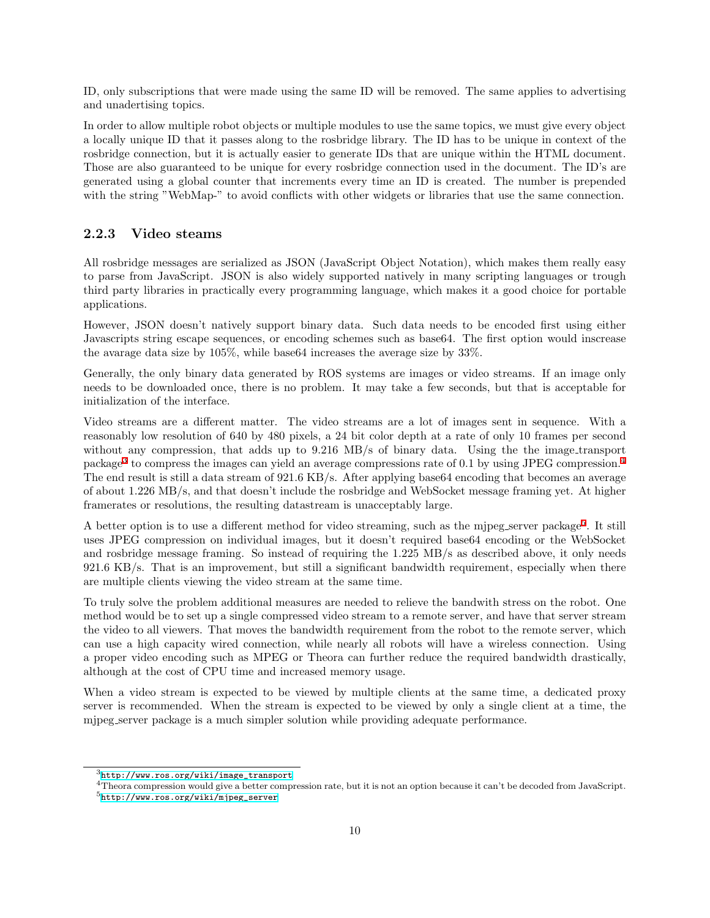ID, only subscriptions that were made using the same ID will be removed. The same applies to advertising and unadertising topics.

In order to allow multiple robot objects or multiple modules to use the same topics, we must give every object a locally unique ID that it passes along to the rosbridge library. The ID has to be unique in context of the rosbridge connection, but it is actually easier to generate IDs that are unique within the HTML document. Those are also guaranteed to be unique for every rosbridge connection used in the document. The ID's are generated using a global counter that increments every time an ID is created. The number is prepended with the string "WebMap-" to avoid conflicts with other widgets or libraries that use the same connection.

### **2.2.3 Video steams**

All rosbridge messages are serialized as JSON (JavaScript Object Notation), which makes them really easy to parse from JavaScript. JSON is also widely supported natively in many scripting languages or trough third party libraries in practically every programming language, which makes it a good choice for portable applications.

However, JSON doesn't natively support binary data. Such data needs to be encoded first using either Javascripts string escape sequences, or encoding schemes such as base64. The first option would inscrease the avarage data size by 105%, while base64 increases the average size by 33%.

Generally, the only binary data generated by ROS systems are images or video streams. If an image only needs to be downloaded once, there is no problem. It may take a few seconds, but that is acceptable for initialization of the interface.

Video streams are a different matter. The video streams are a lot of images sent in sequence. With a reasonably low resolution of 640 by 480 pixels, a 24 bit color depth at a rate of only 10 frames per second without any compression, that adds up to 9.216 MB/s of binary data. Using the the image\_transport package<sup>[3](#page-10-0)</sup> to compress the images can yield an average compressions rate of 0.1 by using JPEG compression.<sup>[4](#page-10-1)</sup> The end result is still a data stream of 921*.*6 KB/s. After applying base64 encoding that becomes an average of about 1*.*226 MB/s, and that doesn't include the rosbridge and WebSocket message framing yet. At higher framerates or resolutions, the resulting datastream is unacceptably large.

A better option is to use a different method for video streaming, such as the mjpeg\_server package<sup>[5](#page-10-2)</sup>. It still uses JPEG compression on individual images, but it doesn't required base64 encoding or the WebSocket and rosbridge message framing. So instead of requiring the 1*.*225 MB/s as described above, it only needs 921*.*6 KB/s. That is an improvement, but still a significant bandwidth requirement, especially when there are multiple clients viewing the video stream at the same time.

To truly solve the problem additional measures are needed to relieve the bandwith stress on the robot. One method would be to set up a single compressed video stream to a remote server, and have that server stream the video to all viewers. That moves the bandwidth requirement from the robot to the remote server, which can use a high capacity wired connection, while nearly all robots will have a wireless connection. Using a proper video encoding such as MPEG or Theora can further reduce the required bandwidth drastically, although at the cost of CPU time and increased memory usage.

When a video stream is expected to be viewed by multiple clients at the same time, a dedicated proxy server is recommended. When the stream is expected to be viewed by only a single client at a time, the mjpeg server package is a much simpler solution while providing adequate performance.

<span id="page-10-0"></span> $3$ [http://www.ros.org/wiki/image\\_transport](http://www.ros.org/wiki/image_transport)

<span id="page-10-1"></span> $4$ Theora compression would give a better compression rate, but it is not an option because it can't be decoded from JavaScript.

<span id="page-10-2"></span><sup>5</sup>[http://www.ros.org/wiki/mjpeg\\_server](http://www.ros.org/wiki/mjpeg_server)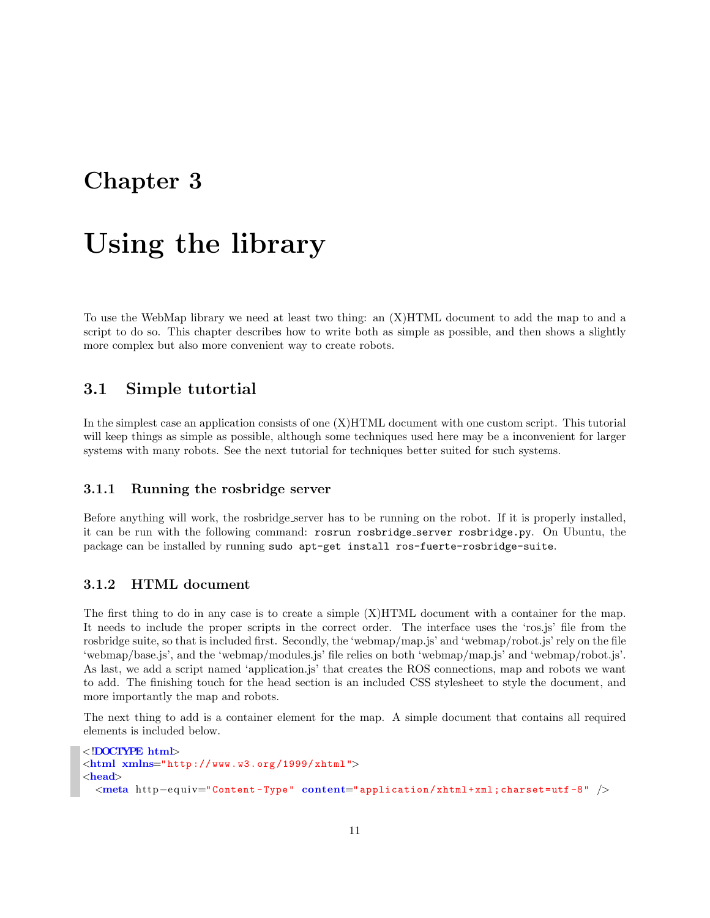## <span id="page-11-0"></span>**Chapter 3**

# **Using the library**

To use the WebMap library we need at least two thing: an (X)HTML document to add the map to and a script to do so. This chapter describes how to write both as simple as possible, and then shows a slightly more complex but also more convenient way to create robots.

## <span id="page-11-1"></span>**3.1 Simple tutortial**

In the simplest case an application consists of one (X)HTML document with one custom script. This tutorial will keep things as simple as possible, although some techniques used here may be a inconvenient for larger systems with many robots. See the next tutorial for techniques better suited for such systems.

## **3.1.1 Running the rosbridge server**

Before anything will work, the rosbridge server has to be running on the robot. If it is properly installed, it can be run with the following command: rosrun rosbridge server rosbridge.py. On Ubuntu, the package can be installed by running sudo apt-get install ros-fuerte-rosbridge-suite.

## **3.1.2 HTML document**

The first thing to do in any case is to create a simple (X)HTML document with a container for the map. It needs to include the proper scripts in the correct order. The interface uses the 'ros.js' file from the rosbridge suite, so that is included first. Secondly, the 'webmap/map.js' and 'webmap/robot.js' rely on the file 'webmap/base.js', and the 'webmap/modules.js' file relies on both 'webmap/map.js' and 'webmap/robot.js'. As last, we add a script named 'application.js' that creates the ROS connections, map and robots we want to add. The finishing touch for the head section is an included CSS stylesheet to style the document, and more importantly the map and robots.

The next thing to add is a container element for the map. A simple document that contains all required elements is included below.

```
<!DOCTYPE html>
<html xmlns="http :// www.w3.org /1999/ xhtml">
<head>
  <meta http−e qui v="Content -Type" content="application/xhtml+xml;charset=utf -8" />
```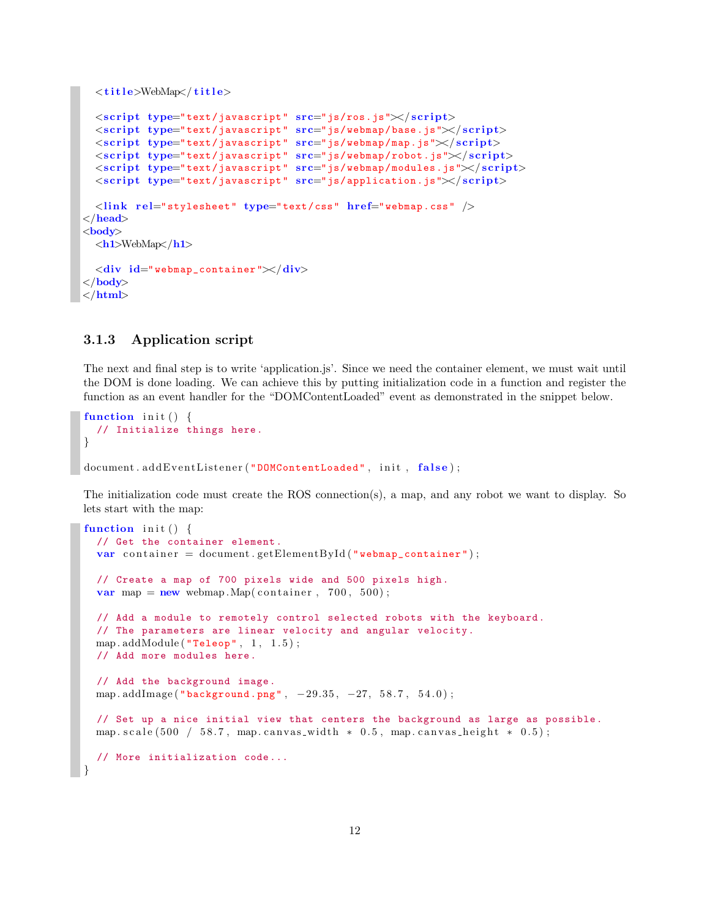```
<t i t l e>WebMap</ t i t l e>
  \langlescript type="text/javascript" src = "js/ros.js" \times / script<s cr ipt type="text/javascript" src="js/webmap/base.js"></ s cr ipt>
  <s cr ipt type="text/javascript" src="js/webmap/map.js"></ s cr ipt>
  <s cr ipt type="text/javascript" src="js/webmap/robot.js"></ s cr ipt>
  <s cr ipt type="text/javascript" src="js/webmap/modules.js"></ s cr ipt>
  <s cr ipt type="text/javascript" src="js/application.js"></ s cr ipt>
  <l ink r e l="stylesheet" type="text/css" href="webmap.css" />
</head>
<body>
  <h1>WebMap</h1>
  <div id=" webmap_container "></div>
</body>
</html>
```
## **3.1.3 Application script**

The next and final step is to write 'application.js'. Since we need the container element, we must wait until the DOM is done loading. We can achieve this by putting initialization code in a function and register the function as an event handler for the "DOMContentLoaded" event as demonstrated in the snippet below.

```
function init () {
  // Initialize things here.
}
document.addEventListener ("DOMContentLoaded", init, false);
```
The initialization code must create the ROS connection(s), a map, and any robot we want to display. So lets start with the map:

```
function init() {
  // Get the container element.
  var container = document.getElementById ("webmap_container");
 // Create a map of 700 pixels wide and 500 pixels high.
 var map = new webmap. Map(container, 700, 500);
  // Add a module to remotely control selected robots with the keyboard.
  // The parameters are linear velocity and angular velocity.
 map.addModule ("Teleop", 1, 1.5);
 // Add more modules here.
 // Add the background image.
 map . addImage ( "background.png" , −29.35 , −27, 5 8. 7 , 5 4 . 0 ) ;
 // Set up a nice initial view that centers the background as large as possible.
 map. scale (500 / 58.7, map. canvas_width * 0.5, map. canvas_height * 0.5);
  // More initialization code ...
}
```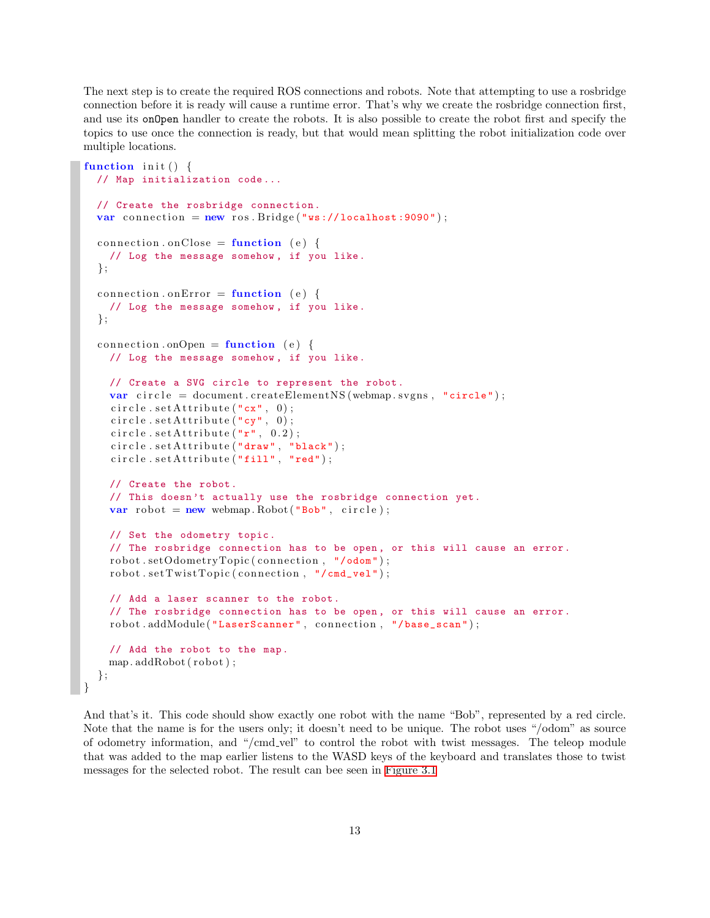The next step is to create the required ROS connections and robots. Note that attempting to use a rosbridge connection before it is ready will cause a runtime error. That's why we create the rosbridge connection first, and use its onOpen handler to create the robots. It is also possible to create the robot first and specify the topics to use once the connection is ready, but that would mean splitting the robot initialization code over multiple locations.

```
function init () {
  // Map initialization code ...
  // Create the rosbridge connection.
  var connection = new ros. Bridge ("ws://localhost:9090");
  connection. onClose = function (e)// Log the message somehow , if you like.
  } ;
  connection. onError = function (e) {
    // Log the message somehow , if you like.
  } ;
  connection.onOpen = function (e) {
    // Log the message somehow , if you like.
    // Create a SVG circle to represent the robot.
    var circle = document.createElementNS (webmap.svgns, "circle");
     circle . setAttribute (<code>"cx"</code>, 0);circle.setAttribute(\n\begin{bmatrix}\n\cdot & \cdot & \cdot & \cdot & \cdot \\
\cdot & \cdot & \cdot & \cdot & \cdot \\
\cdot & \cdot & \cdot & \cdot & \cdot\n\end{bmatrix};
     circle . setAttribute("r", 0.2);circle . setAttribute("draw", "black");circle . setAttribute("fill", "red");// Create the robot.
    // This doesn 't actually use the rosbridge connection yet.
    var robot = new webmap. Robot ("Bob", circle);
    // Set the odometry topic.
    // The rosbridge connection has to be open, or this will cause an error.
    robot.setOdometryTopic(connection, "/odom");
    robot.setTwistTopic(connection, "/cmd\_vel");// Add a laser scanner to the robot.
    // The rosbridge connection has to be open , or this will cause an error.
    robot.addModule ("LaserScanner", connection, "/base_scan");
    // Add the robot to the map.
    map. addRobot(robot);
  } ;
}
```
And that's it. This code should show exactly one robot with the name "Bob", represented by a red circle. Note that the name is for the users only; it doesn't need to be unique. The robot uses "/odom" as source of odometry information, and "/cmd vel" to control the robot with twist messages. The teleop module that was added to the map earlier listens to the WASD keys of the keyboard and translates those to twist messages for the selected robot. The result can bee seen in [Figure 3.1](#page-14-1)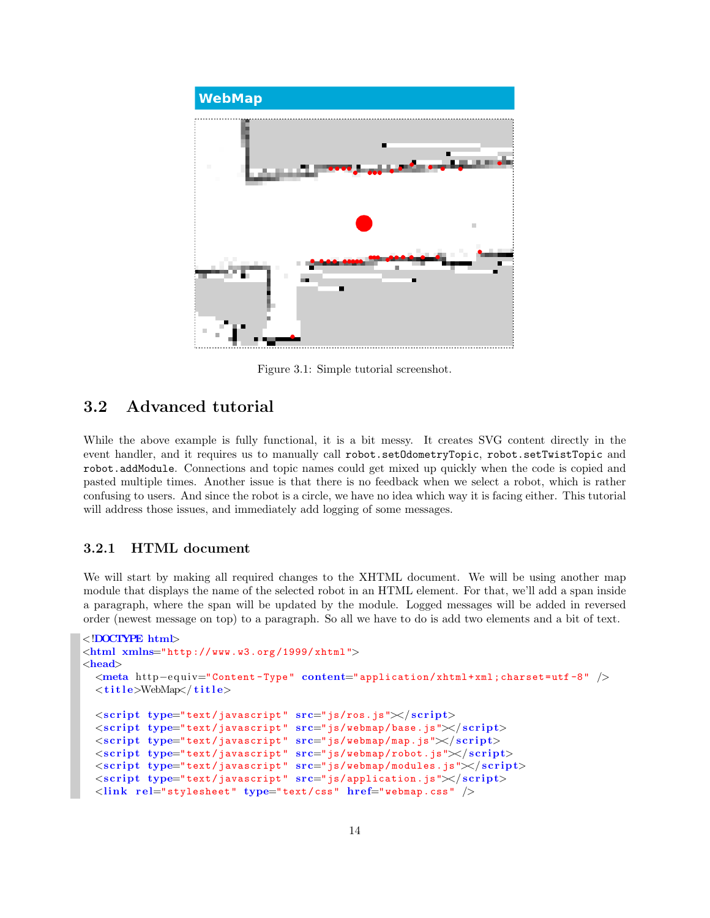<span id="page-14-1"></span>

Figure 3.1: Simple tutorial screenshot.

## <span id="page-14-0"></span>**3.2 Advanced tutorial**

While the above example is fully functional, it is a bit messy. It creates SVG content directly in the event handler, and it requires us to manually call robot.setOdometryTopic, robot.setTwistTopic and robot.addModule. Connections and topic names could get mixed up quickly when the code is copied and pasted multiple times. Another issue is that there is no feedback when we select a robot, which is rather confusing to users. And since the robot is a circle, we have no idea which way it is facing either. This tutorial will address those issues, and immediately add logging of some messages.

## **3.2.1 HTML document**

We will start by making all required changes to the XHTML document. We will be using another map module that displays the name of the selected robot in an HTML element. For that, we'll add a span inside a paragraph, where the span will be updated by the module. Logged messages will be added in reversed order (newest message on top) to a paragraph. So all we have to do is add two elements and a bit of text.

```
<!DOCTYPE html>
<html xmlns="http :// www.w3.org /1999/ xhtml">
<head>
  <meta http−e qui v="Content -Type" content="application/xhtml+xml;charset=utf -8" />
  <t i t l e>WebMap</ t i t l e>
  \langlescript type="text/javascript" src = "js/ros.js" \times / script<s cr ipt type="text/javascript" src="js/webmap/base.js"></ s cr ipt>
  <s cr ipt type="text/javascript" src="js/webmap/map.js"></ s cr ipt>
  <s cr ipt type="text/javascript" src="js/webmap/robot.js"></ s cr ipt>
  <s cr ipt type="text/javascript" src="js/webmap/modules.js"></ s cr ipt>
  <s cr ipt type="text/javascript" src="js/application.js"></ s cr ipt>
  <l ink r e l="stylesheet" type="text/css" href="webmap.css" />
```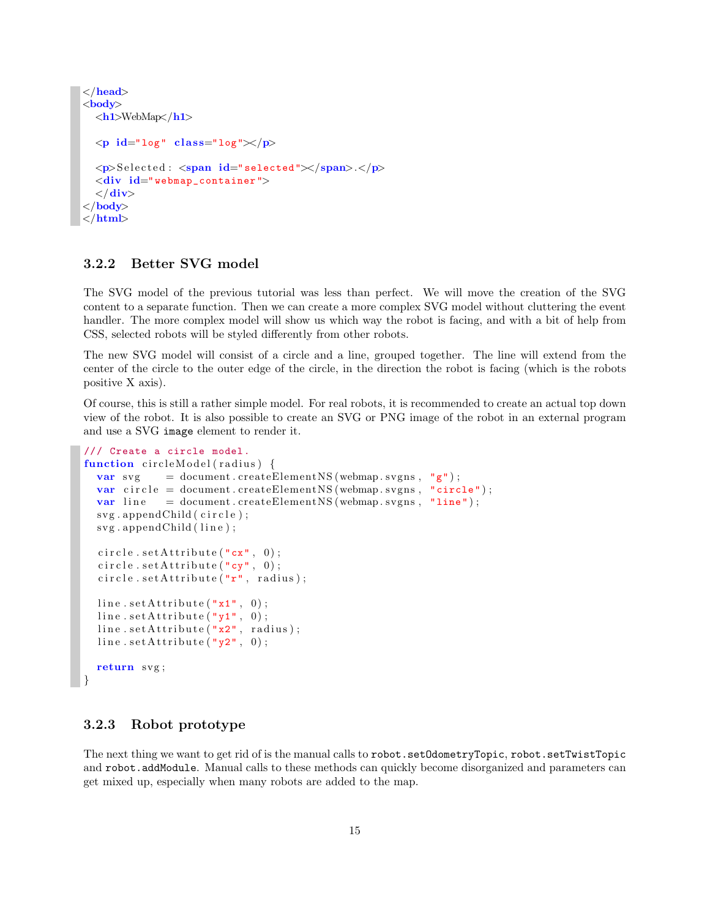```
</head>
<body>
  <h1>WebMap</h1>
  <p id="log" c l a s s="log"></p>
  <p>S el e c t e d : <span id="selected"></span>.</p>
  <div id=" webmap_container ">
  </div>
</body>
</html>
```
## **3.2.2 Better SVG model**

The SVG model of the previous tutorial was less than perfect. We will move the creation of the SVG content to a separate function. Then we can create a more complex SVG model without cluttering the event handler. The more complex model will show us which way the robot is facing, and with a bit of help from CSS, selected robots will be styled differently from other robots.

The new SVG model will consist of a circle and a line, grouped together. The line will extend from the center of the circle to the outer edge of the circle, in the direction the robot is facing (which is the robots positive X axis).

Of course, this is still a rather simple model. For real robots, it is recommended to create an actual top down view of the robot. It is also possible to create an SVG or PNG image of the robot in an external program and use a SVG image element to render it.

```
/// Create a circle model.
function circleModel(radius) {
  var svg = document.createElementNS (webmap.svgns, "g");
  var circle = document.createElementNS (webmap.svgns, "circle");
  var line = document.createElementNS (webmap.svgns, "line");
  svg.appendChild (circle);svg.appendChild(line);circle.set\text{Attribute}("cx", 0);circle . setAttribute("cy", 0);circle.set\text{Attribute}("r", \text{ radius});line . setAttribute("x1", 0);line . setAttribute("y1", 0);line . setAttribute("x2", radius);line . setAttribute('y2", 0);return svg ;
}
```
## **3.2.3 Robot prototype**

The next thing we want to get rid of is the manual calls to robot.setOdometryTopic, robot.setTwistTopic and robot.addModule. Manual calls to these methods can quickly become disorganized and parameters can get mixed up, especially when many robots are added to the map.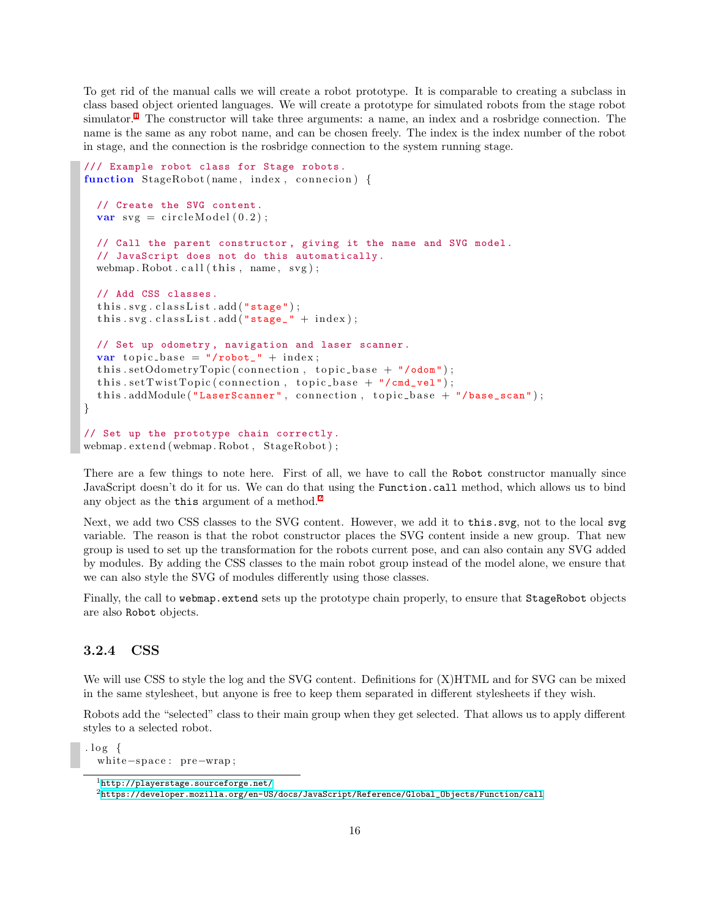To get rid of the manual calls we will create a robot prototype. It is comparable to creating a subclass in class based object oriented languages. We will create a prototype for simulated robots from the stage robot simulator.<sup>[1](#page-16-0)</sup> The constructor will take three arguments: a name, an index and a rosbridge connection. The name is the same as any robot name, and can be chosen freely. The index is the index number of the robot in stage, and the connection is the rosbridge connection to the system running stage.

```
/// Example robot class for Stage robots.
function StageRobot (name, index, connecion) {
  // Create the SVG content.
  var svg = circleModel(0.2);
  // Call the parent constructor , giving it the name and SVG model.
  // JavaScript does not do this automatically .
  webmap. Robot. call (this, name, svg);
  // Add CSS classes.
  this \, \text{.} \, \text{.} \, \text{classList} \, \text{.} \, \text{add} \left( \, \text{"stage"} \right);
  this \, . \, sys \, . \, classList \, . \, add(' "stage-" + index) \, ;// Set up odometry , navigation and laser scanner.
  var topic_base = "/robot_" + index;
  this . setOdometryTopic (connection, topic\_base + " /odom");this . setTwistTopic (connection, topic\_base + "/cmd\_vel");this . addModule ("LaserScanner", connection, topic_base + "/base_scan");
}
// Set up the prototype chain correctly.
```
There are a few things to note here. First of all, we have to call the Robot constructor manually since JavaScript doesn't do it for us. We can do that using the Function.call method, which allows us to bind any object as the **this** argument of a method.<sup>[2](#page-16-1)</sup>

Next, we add two CSS classes to the SVG content. However, we add it to this.svg, not to the local svg variable. The reason is that the robot constructor places the SVG content inside a new group. That new group is used to set up the transformation for the robots current pose, and can also contain any SVG added by modules. By adding the CSS classes to the main robot group instead of the model alone, we ensure that we can also style the SVG of modules differently using those classes.

Finally, the call to webmap.extend sets up the prototype chain properly, to ensure that StageRobot objects are also Robot objects.

## **3.2.4 CSS**

We will use CSS to style the log and the SVG content. Definitions for  $(X)HTML$  and for SVG can be mixed in the same stylesheet, but anyone is free to keep them separated in different stylesheets if they wish.

Robots add the "selected" class to their main group when they get selected. That allows us to apply different styles to a selected robot.

.  $\log \{$ white*−*sp ace : pre*−*wrap ;

webmap . ex tend (webmap . Robot , StageRobot ) ;

<span id="page-16-0"></span><sup>1</sup><http://playerstage.sourceforge.net/>

<span id="page-16-1"></span> $^{2}$ [https://developer.mozilla.org/en-US/docs/JavaScript/Reference/Global\\_Objects/Function/call](https://developer.mozilla.org/en-US/docs/JavaScript/Reference/Global_Objects/Function/call)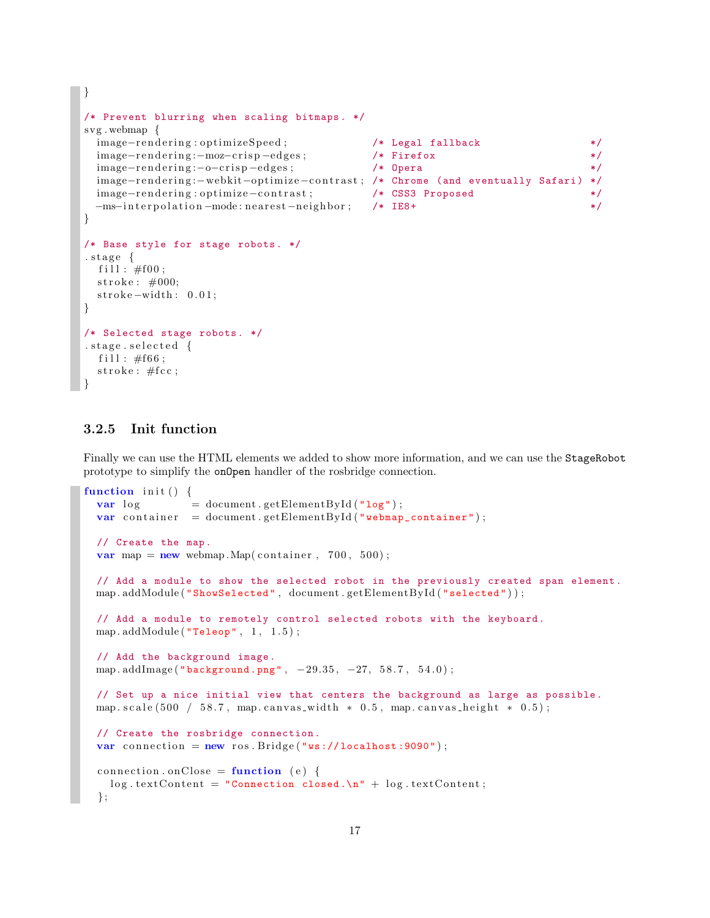```
/* Prevent blurring when scaling bitmaps. */
svg . webmap {
 image-rendering:optimizeSpeed; /* Legal fallback */
 image−rendering:−moz−crisp-edges; /* Firefox */
 image-rendering:-o-crisp-edges; /* Opera */
 image-rendering:-webkit-optimize-contrast; /* Chrome (and eventually Safari) */
 image-rendering:optimize-contrast; /* CSS3 Proposed */
 −ms−in t e r polation −mode : nearest −neighbor; /* IE8+ */
}
/* Base style for stage robots. */
. s t a g e {
 f i 11 : #f00;stroke: \#000;stroke-width: 0.01;
}
/* Selected stage robots. */
.stage.selected {
 fill : \#f66;
 \text{stroke}: \# \text{fcc};}
```
## **3.2.5 Init function**

*}*

Finally we can use the HTML elements we added to show more information, and we can use the StageRobot prototype to simplify the onOpen handler of the rosbridge connection.

```
function init() {
  var log = document.getElementById("log");
  var container = document.getElementById ("webmap_container");
  // Create the map.
  var map = new webmap.Map( container, 700, 500);// Add a module to show the selected robot in the previously created span element.
  map.addModule("ShowSelected", document.getElementById("selected"));
  // Add a module to remotely control selected robots with the keyboard.
  map.addModule("Teleop", 1, 1.5);// Add the background image.
  map . addImage ( "background.png" , −29.35 , −27, 5 8. 7 , 5 4 . 0 ) ;
  // Set up a nice initial view that centers the background as large as possible.
  map . scale (500 / 58.7, map . canvas_width * 0.5, map . canvas_height * 0.5);
  // Create the rosbridge connection.
  var connection = new ros. Bridge ("ws://localhost:9090");
  connection. onClose = function (e)\log . \text{textContent} = "Connection closed.\n\cdot \ln" + \log . \text{textContent};} ;
```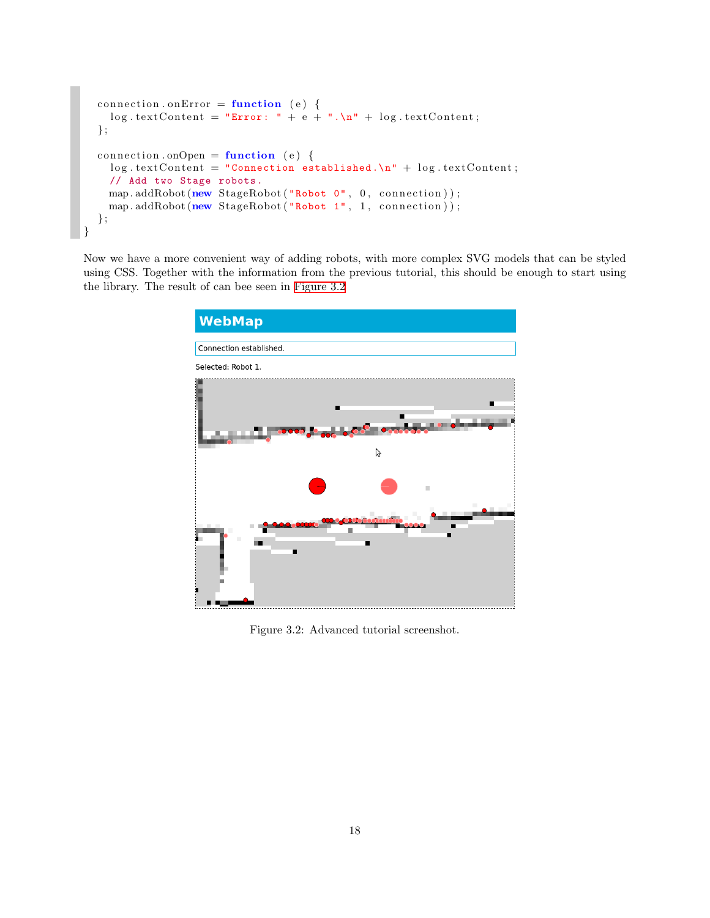```
connection \cdot onError = function (e) {
    \log . \text{textContent} = \text{``Error: " + e + ". \n' " + \log . \text{textContent}};} ;
  connection \cdot onOpen = function (e)\log. textContent = "Connection established.\ln" + log. textContent;
    // Add two Stage robots.
    map. addRobot(new StageRobot("Robot 0", 0, connection));
    map. addRobot(new StageRobot("Robot 1", 1, connection));
  } ;
}
```
<span id="page-18-0"></span>Now we have a more convenient way of adding robots, with more complex SVG models that can be styled using CSS. Together with the information from the previous tutorial, this should be enough to start using the library. The result of can bee seen in [Figure 3.2](#page-18-0)



Figure 3.2: Advanced tutorial screenshot.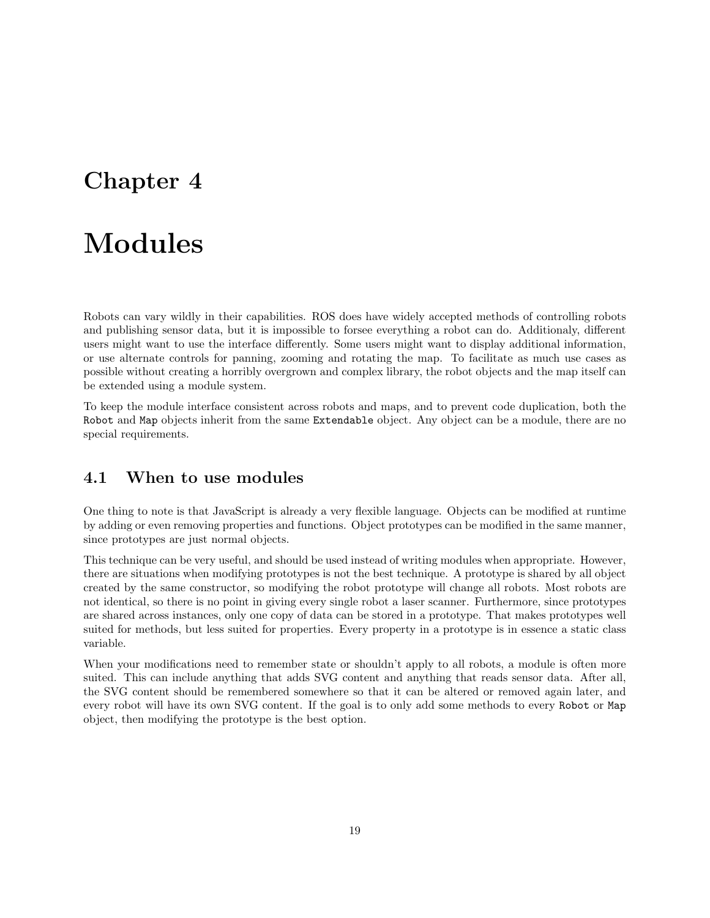## <span id="page-19-0"></span>**Chapter 4**

## **Modules**

Robots can vary wildly in their capabilities. ROS does have widely accepted methods of controlling robots and publishing sensor data, but it is impossible to forsee everything a robot can do. Additionaly, different users might want to use the interface differently. Some users might want to display additional information, or use alternate controls for panning, zooming and rotating the map. To facilitate as much use cases as possible without creating a horribly overgrown and complex library, the robot objects and the map itself can be extended using a module system.

To keep the module interface consistent across robots and maps, and to prevent code duplication, both the Robot and Map objects inherit from the same Extendable object. Any object can be a module, there are no special requirements.

## <span id="page-19-1"></span>**4.1 When to use modules**

One thing to note is that JavaScript is already a very flexible language. Objects can be modified at runtime by adding or even removing properties and functions. Object prototypes can be modified in the same manner, since prototypes are just normal objects.

This technique can be very useful, and should be used instead of writing modules when appropriate. However, there are situations when modifying prototypes is not the best technique. A prototype is shared by all object created by the same constructor, so modifying the robot prototype will change all robots. Most robots are not identical, so there is no point in giving every single robot a laser scanner. Furthermore, since prototypes are shared across instances, only one copy of data can be stored in a prototype. That makes prototypes well suited for methods, but less suited for properties. Every property in a prototype is in essence a static class variable.

When your modifications need to remember state or shouldn't apply to all robots, a module is often more suited. This can include anything that adds SVG content and anything that reads sensor data. After all, the SVG content should be remembered somewhere so that it can be altered or removed again later, and every robot will have its own SVG content. If the goal is to only add some methods to every Robot or Map object, then modifying the prototype is the best option.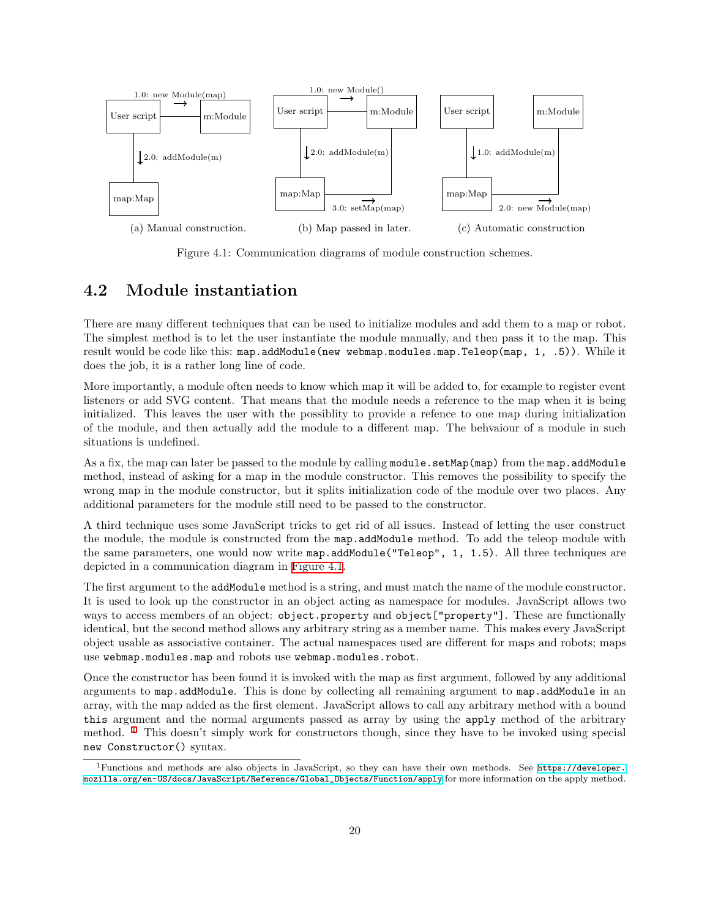<span id="page-20-1"></span>

Figure 4.1: Communication diagrams of module construction schemes.

## <span id="page-20-0"></span>**4.2 Module instantiation**

There are many different techniques that can be used to initialize modules and add them to a map or robot. The simplest method is to let the user instantiate the module manually, and then pass it to the map. This result would be code like this: map.addModule(new webmap.modules.map.Teleop(map, 1, .5)). While it does the job, it is a rather long line of code.

More importantly, a module often needs to know which map it will be added to, for example to register event listeners or add SVG content. That means that the module needs a reference to the map when it is being initialized. This leaves the user with the possiblity to provide a refence to one map during initialization of the module, and then actually add the module to a different map. The behvaiour of a module in such situations is undefined.

As a fix, the map can later be passed to the module by calling module.setMap(map) from the map.addModule method, instead of asking for a map in the module constructor. This removes the possibility to specify the wrong map in the module constructor, but it splits initialization code of the module over two places. Any additional parameters for the module still need to be passed to the constructor.

A third technique uses some JavaScript tricks to get rid of all issues. Instead of letting the user construct the module, the module is constructed from the map.addModule method. To add the teleop module with the same parameters, one would now write map.addModule("Teleop", 1, 1.5). All three techniques are depicted in a communication diagram in [Figure 4.1.](#page-20-1)

The first argument to the addModule method is a string, and must match the name of the module constructor. It is used to look up the constructor in an object acting as namespace for modules. JavaScript allows two ways to access members of an object: object.property and object ["property"]. These are functionally identical, but the second method allows any arbitrary string as a member name. This makes every JavaScript object usable as associative container. The actual namespaces used are different for maps and robots; maps use webmap.modules.map and robots use webmap.modules.robot.

Once the constructor has been found it is invoked with the map as first argument, followed by any additional arguments to map.addModule. This is done by collecting all remaining argument to map.addModule in an array, with the map added as the first element. JavaScript allows to call any arbitrary method with a bound this argument and the normal arguments passed as array by using the apply method of the arbitrary method.  $1$  This doesn't simply work for constructors though, since they have to be invoked using special new Constructor() syntax.

<span id="page-20-2"></span><sup>1</sup>Functions and methods are also objects in JavaScript, so they can have their own methods. See [https://developer.](https://developer.mozilla.org/en-US/docs/JavaScript/Reference/Global_Objects/Function/apply) [mozilla.org/en-US/docs/JavaScript/Reference/Global\\_Objects/Function/apply](https://developer.mozilla.org/en-US/docs/JavaScript/Reference/Global_Objects/Function/apply) for more information on the apply method.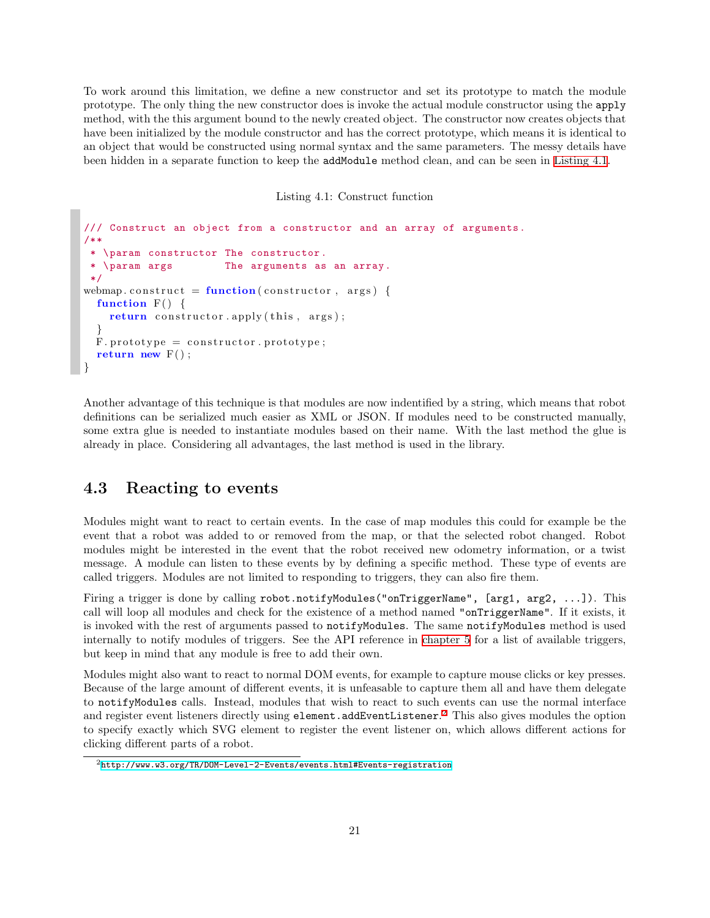To work around this limitation, we define a new constructor and set its prototype to match the module prototype. The only thing the new constructor does is invoke the actual module constructor using the apply method, with the this argument bound to the newly created object. The constructor now creates objects that have been initialized by the module constructor and has the correct prototype, which means it is identical to an object that would be constructed using normal syntax and the same parameters. The messy details have been hidden in a separate function to keep the addModule method clean, and can be seen in [Listing 4.1](#page-21-1).

Listing 4.1: Construct function

```
/// Construct an object from a constructor and an array of arguments.
/**
   \param constructor The constructor.
  \param args The arguments as an array.
 */
webmap.construct = function (construction, args) {
  function F() \{return constructor . apply (this, args);
  }
 F. prototype = constructor. prototype;
  return new F( ) ;
}
```
Another advantage of this technique is that modules are now indentified by a string, which means that robot definitions can be serialized much easier as XML or JSON. If modules need to be constructed manually, some extra glue is needed to instantiate modules based on their name. With the last method the glue is already in place. Considering all advantages, the last method is used in the library.

## <span id="page-21-0"></span>**4.3 Reacting to events**

Modules might want to react to certain events. In the case of map modules this could for example be the event that a robot was added to or removed from the map, or that the selected robot changed. Robot modules might be interested in the event that the robot received new odometry information, or a twist message. A module can listen to these events by by defining a specific method. These type of events are called triggers. Modules are not limited to responding to triggers, they can also fire them.

Firing a trigger is done by calling robot.notifyModules("onTriggerName", [arg1, arg2, ...]). This call will loop all modules and check for the existence of a method named "onTriggerName". If it exists, it is invoked with the rest of arguments passed to notifyModules. The same notifyModules method is used internally to notify modules of triggers. See the API reference in [chapter 5](#page-24-0) for a list of available triggers, but keep in mind that any module is free to add their own.

Modules might also want to react to normal DOM events, for example to capture mouse clicks or key presses. Because of the large amount of different events, it is unfeasable to capture them all and have them delegate to notifyModules calls. Instead, modules that wish to react to such events can use the normal interface and register event listeners directly using element.addEventListener. $^2$  $^2$  This also gives modules the option to specify exactly which SVG element to register the event listener on, which allows different actions for clicking different parts of a robot.

<span id="page-21-2"></span> $^{2}$ <http://www.w3.org/TR/DOM-Level-2-Events/events.html#Events-registration>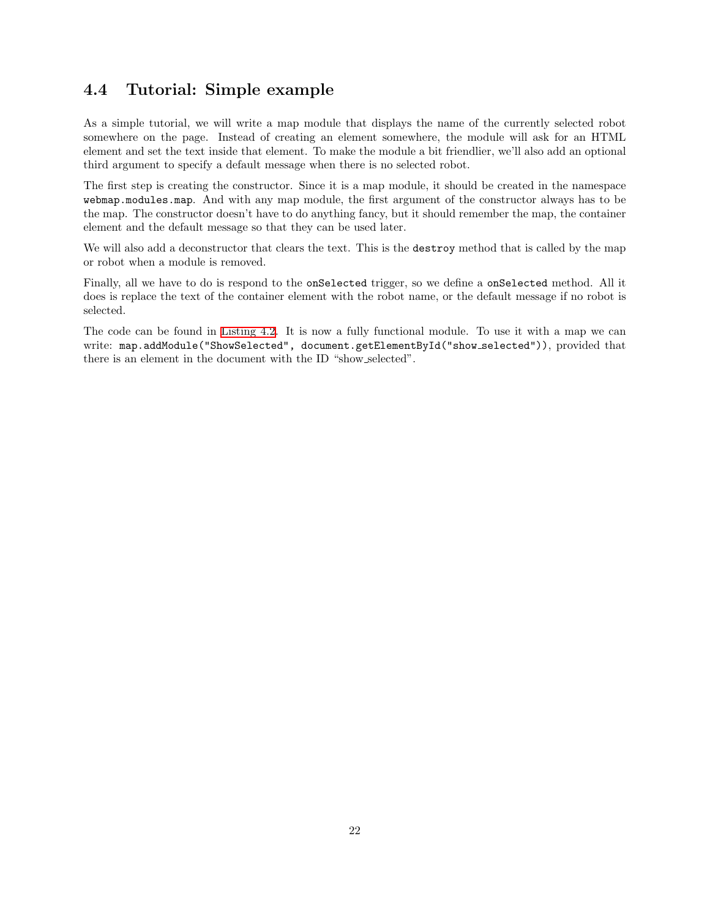## <span id="page-22-0"></span>**4.4 Tutorial: Simple example**

As a simple tutorial, we will write a map module that displays the name of the currently selected robot somewhere on the page. Instead of creating an element somewhere, the module will ask for an HTML element and set the text inside that element. To make the module a bit friendlier, we'll also add an optional third argument to specify a default message when there is no selected robot.

The first step is creating the constructor. Since it is a map module, it should be created in the namespace webmap.modules.map. And with any map module, the first argument of the constructor always has to be the map. The constructor doesn't have to do anything fancy, but it should remember the map, the container element and the default message so that they can be used later.

We will also add a deconstructor that clears the text. This is the destroy method that is called by the map or robot when a module is removed.

Finally, all we have to do is respond to the onSelected trigger, so we define a onSelected method. All it does is replace the text of the container element with the robot name, or the default message if no robot is selected.

The code can be found in [Listing 4.2.](#page-23-0) It is now a fully functional module. To use it with a map we can write: map.addModule("ShowSelected", document.getElementById("show selected")), provided that there is an element in the document with the ID "show selected".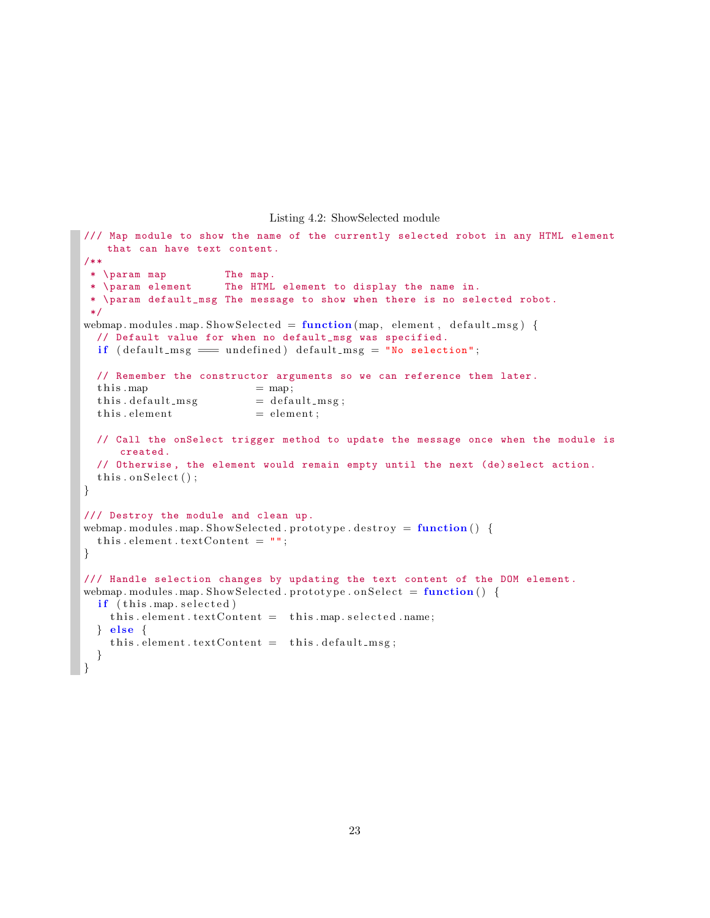#### Listing 4.2: ShowSelected module

```
/// Map module to show the name of the currently selected robot in any HTML element
    that can have text content.
/**
 * \param map The map.
 * \param element The HTML element to display the name in.
 * \param default_msg The message to show when there is no selected robot.
 */
webmap . modules . map . ShowSelected = function (map, element, default msg) \{// Default value for when no default_msg was specified.
  if (default_msg == undefined) default_msg = "No selection";// Remember the constructor arguments so we can reference them later.
  \text{this } \text{map} = map;
  this. default_m s g = default_m s g;\text{this. element} = element;
  // Call the onSelect trigger method to update the message once when the module is
      created.
  // Otherwise , the element would remain empty until the next (de)select action.
  this . on Select ();
}
/// Destroy the module and clean up.
webmap . modules . map . ShowSelected . prototype . destroy = function () \{this . element . textContent = "";
}
/// Handle selection changes by updating the text content of the DOM element.
webmap . modules . map . ShowSelected . prototype . on Select = function () \{if (this . map. selected)
    this. element. text{TextContent} = this. map. selected. name;
  } e l s e {
    this. element. textContent = this. default_msg;
  }
}
```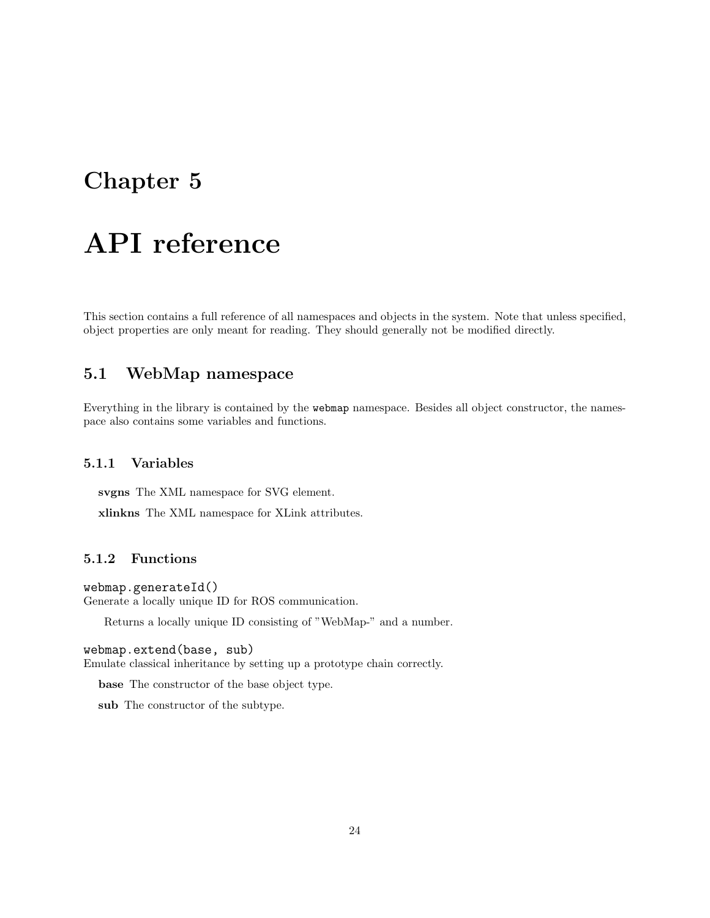## <span id="page-24-0"></span>**Chapter 5**

# **API reference**

This section contains a full reference of all namespaces and objects in the system. Note that unless specified, object properties are only meant for reading. They should generally not be modified directly.

## <span id="page-24-1"></span>**5.1 WebMap namespace**

Everything in the library is contained by the webmap namespace. Besides all object constructor, the namespace also contains some variables and functions.

## **5.1.1 Variables**

**svgns** The XML namespace for SVG element.

**xlinkns** The XML namespace for XLink attributes.

## **5.1.2 Functions**

webmap.generateId() Generate a locally unique ID for ROS communication.

Returns a locally unique ID consisting of "WebMap-" and a number.

#### webmap.extend(base, sub)

Emulate classical inheritance by setting up a prototype chain correctly.

**base** The constructor of the base object type.

**sub** The constructor of the subtype.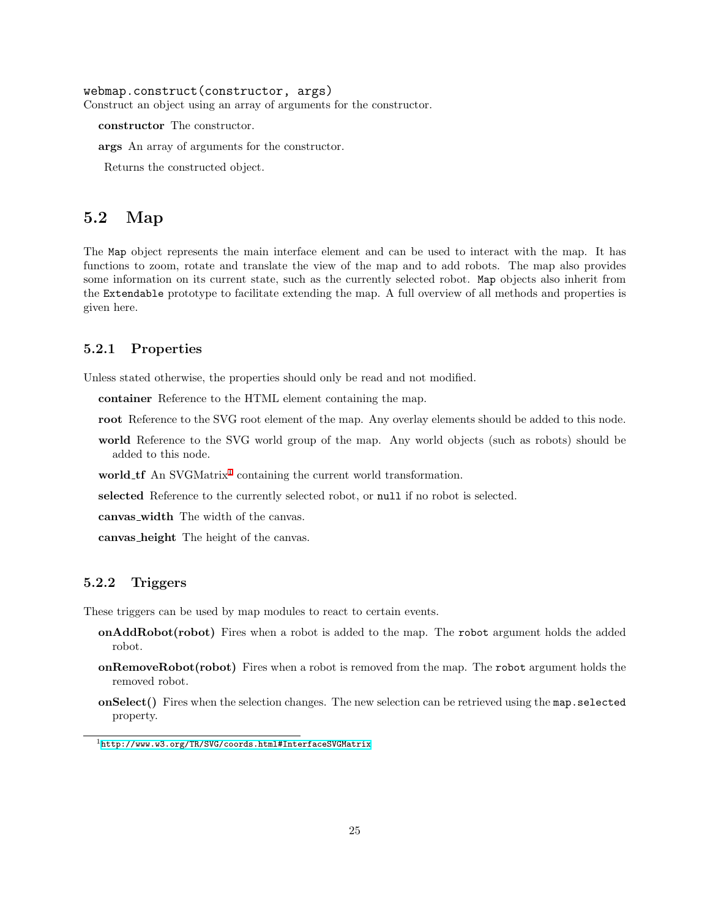#### webmap.construct(constructor, args)

Construct an object using an array of arguments for the constructor.

**constructor** The constructor.

**args** An array of arguments for the constructor.

Returns the constructed object.

## <span id="page-25-0"></span>**5.2 Map**

The Map object represents the main interface element and can be used to interact with the map. It has functions to zoom, rotate and translate the view of the map and to add robots. The map also provides some information on its current state, such as the currently selected robot. Map objects also inherit from the Extendable prototype to facilitate extending the map. A full overview of all methods and properties is given here.

### **5.2.1 Properties**

Unless stated otherwise, the properties should only be read and not modified.

**container** Reference to the HTML element containing the map.

- **root** Reference to the SVG root element of the map. Any overlay elements should be added to this node.
- **world** Reference to the SVG world group of the map. Any world objects (such as robots) should be added to this node.
- world\_tf An SVGMatrix<sup>[1](#page-25-1)</sup> containing the current world transformation.

**selected** Reference to the currently selected robot, or null if no robot is selected.

**canvas width** The width of the canvas.

**canvas height** The height of the canvas.

## **5.2.2 Triggers**

These triggers can be used by map modules to react to certain events.

- **onAddRobot(robot)** Fires when a robot is added to the map. The robot argument holds the added robot.
- **onRemoveRobot(robot)** Fires when a robot is removed from the map. The robot argument holds the removed robot.
- **onSelect()** Fires when the selection changes. The new selection can be retrieved using the map.selected property.

<span id="page-25-1"></span><sup>1</sup><http://www.w3.org/TR/SVG/coords.html#InterfaceSVGMatrix>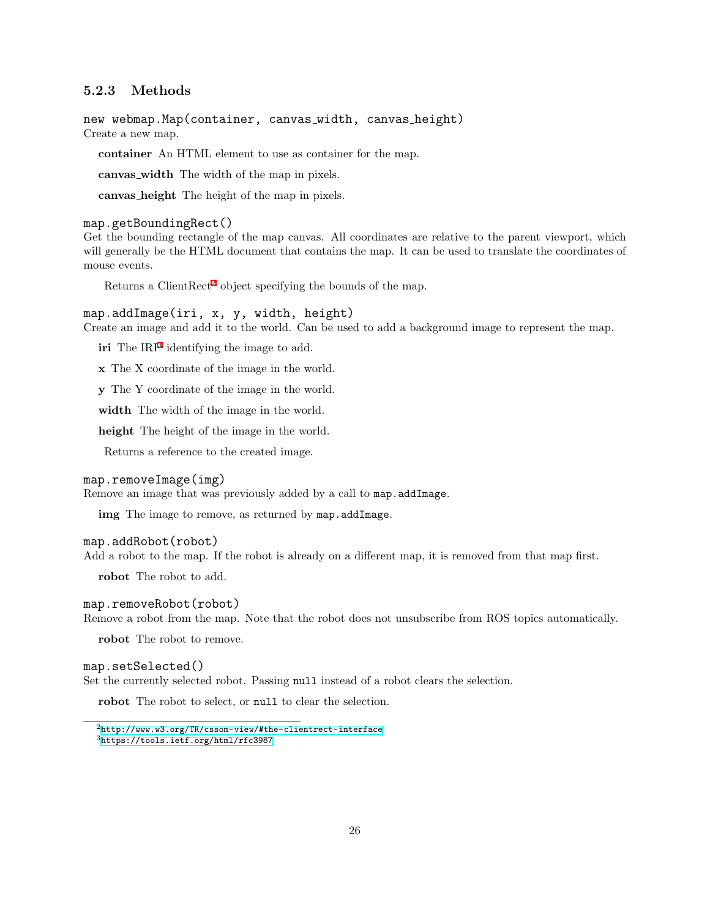## **5.2.3 Methods**

new webmap.Map(container, canvas width, canvas height) Create a new map.

**container** An HTML element to use as container for the map.

**canvas width** The width of the map in pixels.

**canvas height** The height of the map in pixels.

#### map.getBoundingRect()

Get the bounding rectangle of the map canvas. All coordinates are relative to the parent viewport, which will generally be the HTML document that contains the map. It can be used to translate the coordinates of mouse events.

Returns a Client $Rect^2$  $Rect^2$  object specifying the bounds of the map.

#### map.addImage(iri, x, y, width, height)

Create an image and add it to the world. Can be used to add a background image to represent the map.

iri The IRI<sup>[3](#page-26-1)</sup> identifying the image to add.

**x** The X coordinate of the image in the world.

**y** The Y coordinate of the image in the world.

**width** The width of the image in the world.

**height** The height of the image in the world.

Returns a reference to the created image.

#### map.removeImage(img)

Remove an image that was previously added by a call to map.addImage.

**img** The image to remove, as returned by map.addImage.

#### map.addRobot(robot)

Add a robot to the map. If the robot is already on a different map, it is removed from that map first.

**robot** The robot to add.

#### map.removeRobot(robot)

Remove a robot from the map. Note that the robot does not unsubscribe from ROS topics automatically.

**robot** The robot to remove.

#### map.setSelected()

Set the currently selected robot. Passing null instead of a robot clears the selection.

**robot** The robot to select, or null to clear the selection.

<span id="page-26-1"></span><span id="page-26-0"></span> $^{2}$ <http://www.w3.org/TR/cssom-view/#the-clientrect-interface>  $3$ <https://tools.ietf.org/html/rfc3987>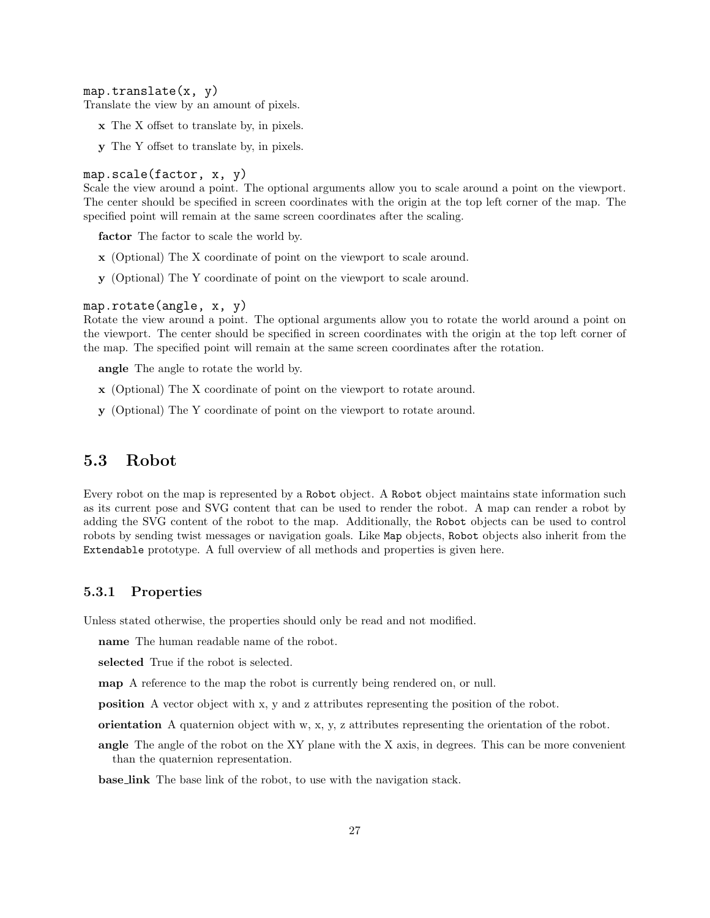#### $map.trainstate(x, y)$

Translate the view by an amount of pixels.

- **x** The X offset to translate by, in pixels.
- **y** The Y offset to translate by, in pixels.

#### map.scale(factor, x, y)

Scale the view around a point. The optional arguments allow you to scale around a point on the viewport. The center should be specified in screen coordinates with the origin at the top left corner of the map. The specified point will remain at the same screen coordinates after the scaling.

**factor** The factor to scale the world by.

- **x** (Optional) The X coordinate of point on the viewport to scale around.
- **y** (Optional) The Y coordinate of point on the viewport to scale around.

#### map.rotate(angle, x, y)

Rotate the view around a point. The optional arguments allow you to rotate the world around a point on the viewport. The center should be specified in screen coordinates with the origin at the top left corner of the map. The specified point will remain at the same screen coordinates after the rotation.

**angle** The angle to rotate the world by.

- **x** (Optional) The X coordinate of point on the viewport to rotate around.
- **y** (Optional) The Y coordinate of point on the viewport to rotate around.

## <span id="page-27-0"></span>**5.3 Robot**

Every robot on the map is represented by a Robot object. A Robot object maintains state information such as its current pose and SVG content that can be used to render the robot. A map can render a robot by adding the SVG content of the robot to the map. Additionally, the Robot objects can be used to control robots by sending twist messages or navigation goals. Like Map objects, Robot objects also inherit from the Extendable prototype. A full overview of all methods and properties is given here.

### **5.3.1 Properties**

Unless stated otherwise, the properties should only be read and not modified.

**name** The human readable name of the robot.

**selected** True if the robot is selected.

**map** A reference to the map the robot is currently being rendered on, or null.

**position** A vector object with x, y and z attributes representing the position of the robot.

**orientation** A quaternion object with w, x, y, z attributes representing the orientation of the robot.

**angle** The angle of the robot on the XY plane with the X axis, in degrees. This can be more convenient than the quaternion representation.

**base link** The base link of the robot, to use with the navigation stack.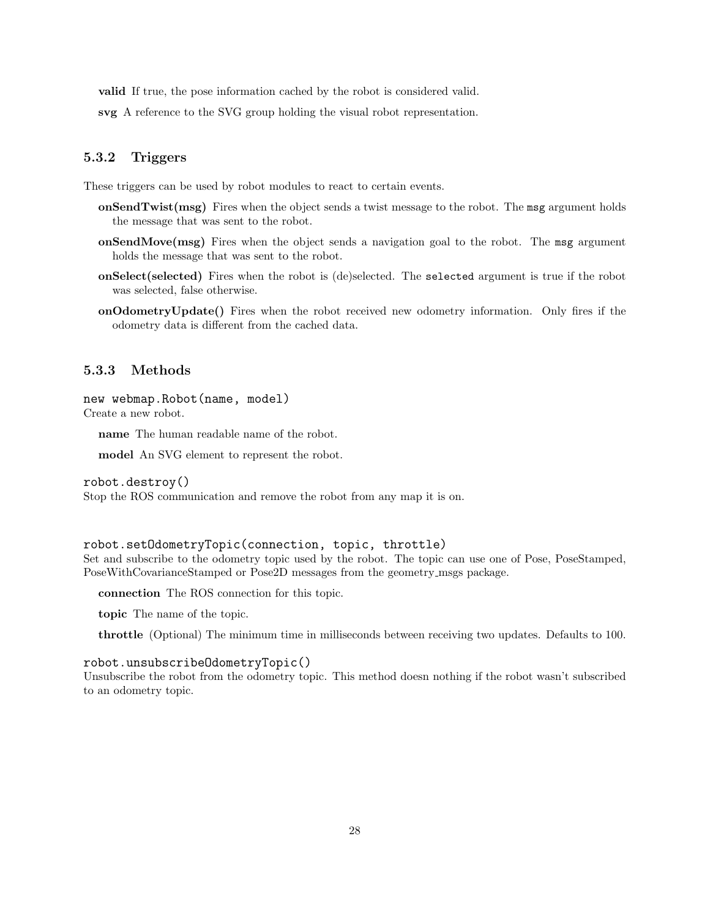**valid** If true, the pose information cached by the robot is considered valid.

**svg** A reference to the SVG group holding the visual robot representation.

### **5.3.2 Triggers**

These triggers can be used by robot modules to react to certain events.

- **onSendTwist(msg)** Fires when the object sends a twist message to the robot. The msg argument holds the message that was sent to the robot.
- **onSendMove(msg)** Fires when the object sends a navigation goal to the robot. The msg argument holds the message that was sent to the robot.
- **onSelect(selected)** Fires when the robot is (de)selected. The selected argument is true if the robot was selected, false otherwise.
- **onOdometryUpdate()** Fires when the robot received new odometry information. Only fires if the odometry data is different from the cached data.

#### **5.3.3 Methods**

new webmap.Robot(name, model) Create a new robot.

**name** The human readable name of the robot.

**model** An SVG element to represent the robot.

robot.destroy()

Stop the ROS communication and remove the robot from any map it is on.

#### robot.setOdometryTopic(connection, topic, throttle)

Set and subscribe to the odometry topic used by the robot. The topic can use one of Pose, PoseStamped, PoseWithCovarianceStamped or Pose2D messages from the geometry msgs package.

**connection** The ROS connection for this topic.

**topic** The name of the topic.

**throttle** (Optional) The minimum time in milliseconds between receiving two updates. Defaults to 100.

### robot.unsubscribeOdometryTopic()

Unsubscribe the robot from the odometry topic. This method doesn nothing if the robot wasn't subscribed to an odometry topic.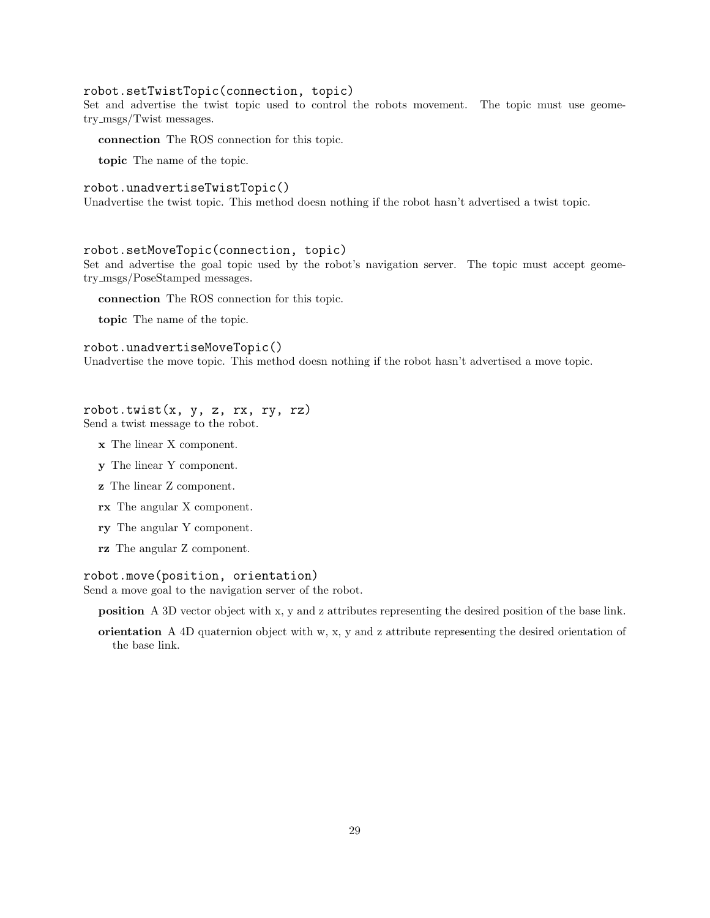### robot.setTwistTopic(connection, topic)

Set and advertise the twist topic used to control the robots movement. The topic must use geometry msgs/Twist messages.

**connection** The ROS connection for this topic.

**topic** The name of the topic.

#### robot.unadvertiseTwistTopic()

Unadvertise the twist topic. This method doesn nothing if the robot hasn't advertised a twist topic.

### robot.setMoveTopic(connection, topic)

Set and advertise the goal topic used by the robot's navigation server. The topic must accept geometry msgs/PoseStamped messages.

**connection** The ROS connection for this topic.

**topic** The name of the topic.

#### robot.unadvertiseMoveTopic()

Unadvertise the move topic. This method doesn nothing if the robot hasn't advertised a move topic.

## robot.twist $(x, y, z, rx, ry, rz)$

Send a twist message to the robot.

- **x** The linear X component.
- **y** The linear Y component.
- **z** The linear Z component.
- **rx** The angular X component.
- **ry** The angular Y component.
- **rz** The angular Z component.

#### robot.move(position, orientation)

Send a move goal to the navigation server of the robot.

**position** A 3D vector object with x, y and z attributes representing the desired position of the base link.

**orientation** A 4D quaternion object with w, x, y and z attribute representing the desired orientation of the base link.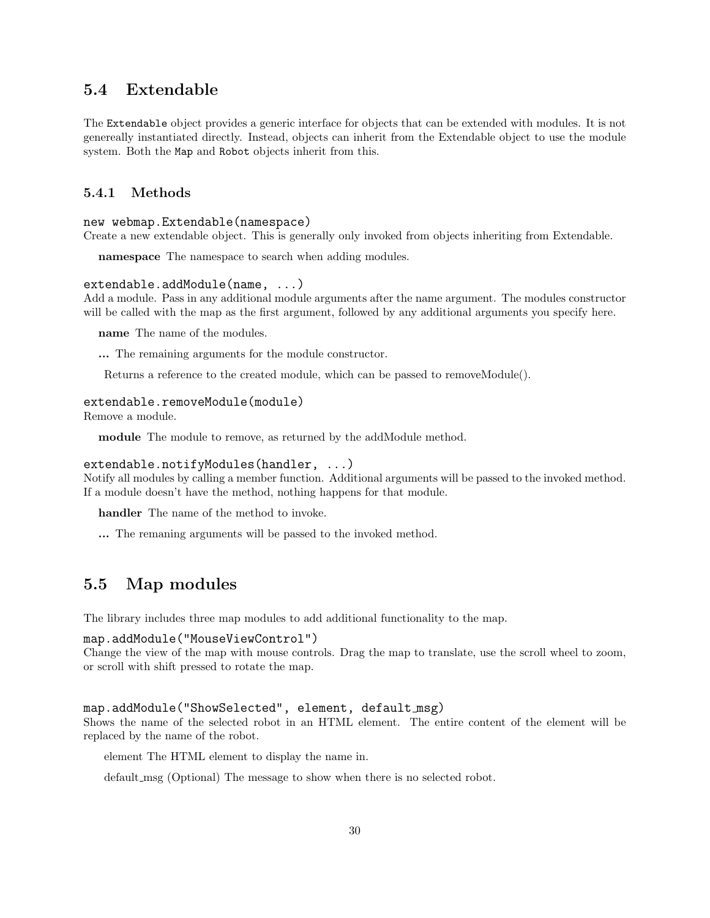## <span id="page-30-0"></span>**5.4 Extendable**

The Extendable object provides a generic interface for objects that can be extended with modules. It is not genereally instantiated directly. Instead, objects can inherit from the Extendable object to use the module system. Both the Map and Robot objects inherit from this.

## **5.4.1 Methods**

#### new webmap.Extendable(namespace)

Create a new extendable object. This is generally only invoked from objects inheriting from Extendable.

**namespace** The namespace to search when adding modules.

#### extendable.addModule(name, ...)

Add a module. Pass in any additional module arguments after the name argument. The modules constructor will be called with the map as the first argument, followed by any additional arguments you specify here.

**name** The name of the modules.

**...** The remaining arguments for the module constructor.

Returns a reference to the created module, which can be passed to removeModule().

### extendable.removeModule(module)

Remove a module.

**module** The module to remove, as returned by the addModule method.

#### extendable.notifyModules(handler, ...)

Notify all modules by calling a member function. Additional arguments will be passed to the invoked method. If a module doesn't have the method, nothing happens for that module.

**handler** The name of the method to invoke.

**...** The remaning arguments will be passed to the invoked method.

## <span id="page-30-1"></span>**5.5 Map modules**

The library includes three map modules to add additional functionality to the map.

#### map.addModule("MouseViewControl")

Change the view of the map with mouse controls. Drag the map to translate, use the scroll wheel to zoom, or scroll with shift pressed to rotate the map.

#### map.addModule("ShowSelected", element, default msg)

Shows the name of the selected robot in an HTML element. The entire content of the element will be replaced by the name of the robot.

element The HTML element to display the name in.

default msg (Optional) The message to show when there is no selected robot.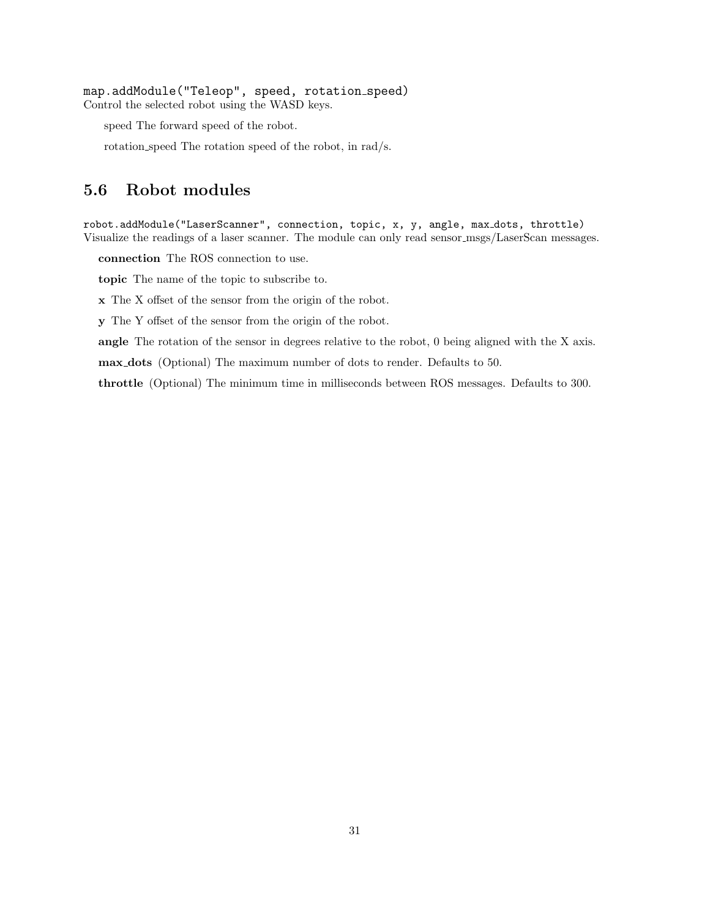map.addModule("Teleop", speed, rotation speed) Control the selected robot using the WASD keys.

speed The forward speed of the robot.

rotation speed The rotation speed of the robot, in rad/s.

## <span id="page-31-0"></span>**5.6 Robot modules**

robot.addModule("LaserScanner", connection, topic, x, y, angle, max dots, throttle) Visualize the readings of a laser scanner. The module can only read sensor msgs/LaserScan messages.

**connection** The ROS connection to use.

**topic** The name of the topic to subscribe to.

**x** The X offset of the sensor from the origin of the robot.

**y** The Y offset of the sensor from the origin of the robot.

**angle** The rotation of the sensor in degrees relative to the robot, 0 being aligned with the X axis.

**max dots** (Optional) The maximum number of dots to render. Defaults to 50.

**throttle** (Optional) The minimum time in milliseconds between ROS messages. Defaults to 300.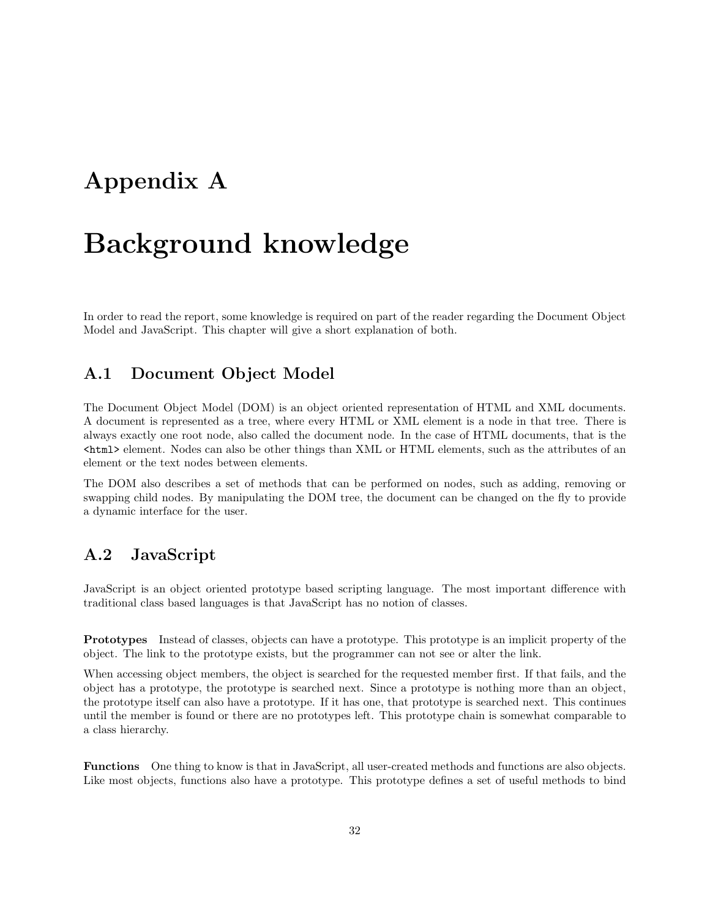## <span id="page-32-0"></span>**Appendix A**

# **Background knowledge**

In order to read the report, some knowledge is required on part of the reader regarding the Document Object Model and JavaScript. This chapter will give a short explanation of both.

## <span id="page-32-1"></span>**A.1 Document Object Model**

The Document Object Model (DOM) is an object oriented representation of HTML and XML documents. A document is represented as a tree, where every HTML or XML element is a node in that tree. There is always exactly one root node, also called the document node. In the case of HTML documents, that is the <html> element. Nodes can also be other things than XML or HTML elements, such as the attributes of an element or the text nodes between elements.

The DOM also describes a set of methods that can be performed on nodes, such as adding, removing or swapping child nodes. By manipulating the DOM tree, the document can be changed on the fly to provide a dynamic interface for the user.

## <span id="page-32-2"></span>**A.2 JavaScript**

JavaScript is an object oriented prototype based scripting language. The most important difference with traditional class based languages is that JavaScript has no notion of classes.

**Prototypes** Instead of classes, objects can have a prototype. This prototype is an implicit property of the object. The link to the prototype exists, but the programmer can not see or alter the link.

When accessing object members, the object is searched for the requested member first. If that fails, and the object has a prototype, the prototype is searched next. Since a prototype is nothing more than an object, the prototype itself can also have a prototype. If it has one, that prototype is searched next. This continues until the member is found or there are no prototypes left. This prototype chain is somewhat comparable to a class hierarchy.

**Functions** One thing to know is that in JavaScript, all user-created methods and functions are also objects. Like most objects, functions also have a prototype. This prototype defines a set of useful methods to bind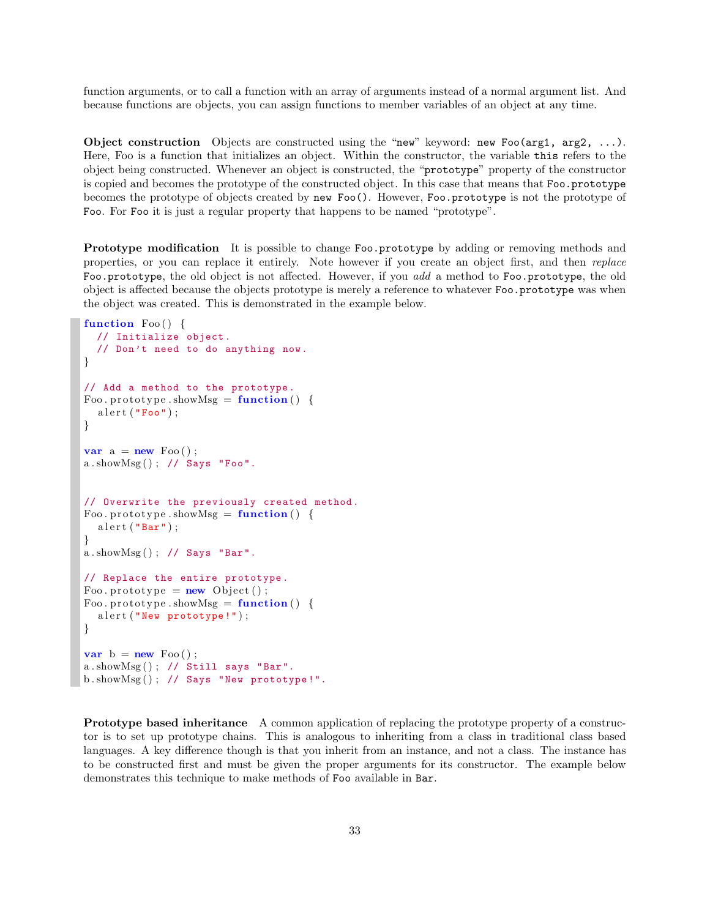function arguments, or to call a function with an array of arguments instead of a normal argument list. And because functions are objects, you can assign functions to member variables of an object at any time.

**Object construction** Objects are constructed using the "new" keyword: new Foo(arg1, arg2, ...). Here, Foo is a function that initializes an object. Within the constructor, the variable this refers to the object being constructed. Whenever an object is constructed, the "prototype" property of the constructor is copied and becomes the prototype of the constructed object. In this case that means that Foo.prototype becomes the prototype of objects created by new Foo(). However, Foo.prototype is not the prototype of Foo. For Foo it is just a regular property that happens to be named "prototype".

**Prototype modification** It is possible to change Foo.prototype by adding or removing methods and properties, or you can replace it entirely. Note however if you create an object first, and then *replace* Foo.prototype, the old object is not affected. However, if you *add* a method to Foo.prototype, the old object is affected because the objects prototype is merely a reference to whatever Foo.prototype was when the object was created. This is demonstrated in the example below.

```
function Foo ( ) {
  // Initialize object.
  // Don't need to do anything now.
}
// Add a method to the prototype.
Foo. prototype. showMsg = function() {
  a l e r ("Foo") ;
}
var a = new \text{Foo}();
a.showMsg(); // Says "Foo".
// Overwrite the previously created method.
Foo. prototype. showMsg = function() {
  a l e r t ("Bar");
}
a.showMsg(); // Says "Bar".
// Replace the entire prototype.
Foo . prototype = new Object ();
Foo. \text{ prototype } . \text{showMsg} = \text{function}() \; \{\text{a} \text{lert} (\text{ "New prototype!");}}
var b = new \text{Foo}();
a.showMsg(); // Still says "Bar".
b.showMsg(); // Says "New prototype!".
```
**Prototype based inheritance** A common application of replacing the prototype property of a constructor is to set up prototype chains. This is analogous to inheriting from a class in traditional class based languages. A key difference though is that you inherit from an instance, and not a class. The instance has to be constructed first and must be given the proper arguments for its constructor. The example below demonstrates this technique to make methods of Foo available in Bar.